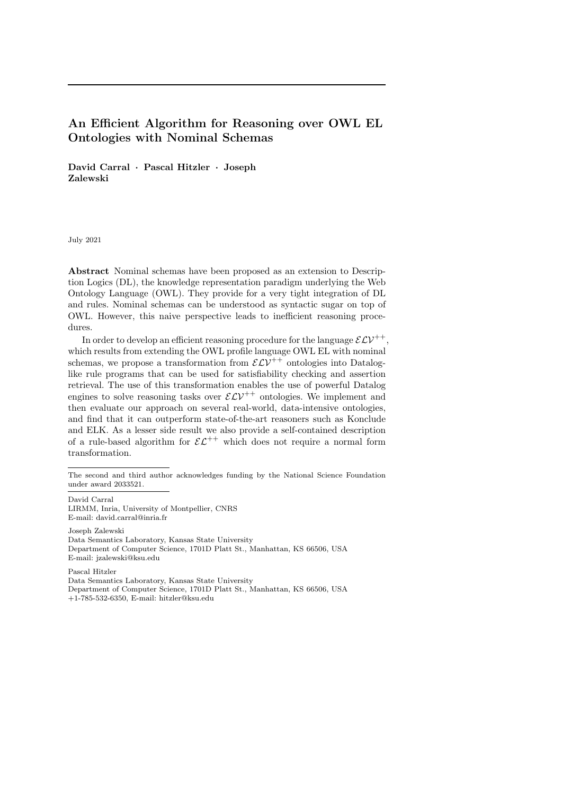# An Efficient Algorithm for Reasoning over OWL EL Ontologies with Nominal Schemas

David Carral · Pascal Hitzler · Joseph Zalewski

July 2021

Abstract Nominal schemas have been proposed as an extension to Description Logics (DL), the knowledge representation paradigm underlying the Web Ontology Language (OWL). They provide for a very tight integration of DL and rules. Nominal schemas can be understood as syntactic sugar on top of OWL. However, this naive perspective leads to inefficient reasoning procedures.

In order to develop an efficient reasoning procedure for the language  $\mathcal{ELV}^{++}$ . which results from extending the OWL profile language OWL EL with nominal schemas, we propose a transformation from  $\mathcal{ELV}^{++}$  ontologies into Dataloglike rule programs that can be used for satisfiability checking and assertion retrieval. The use of this transformation enables the use of powerful Datalog engines to solve reasoning tasks over  $\mathcal{ELV}^{++}$  ontologies. We implement and then evaluate our approach on several real-world, data-intensive ontologies, and find that it can outperform state-of-the-art reasoners such as Konclude and ELK. As a lesser side result we also provide a self-contained description of a rule-based algorithm for  $\mathcal{EL}^{++}$  which does not require a normal form transformation.

David Carral LIRMM, Inria, University of Montpellier, CNRS E-mail: david.carral@inria.fr

Joseph Zalewski Data Semantics Laboratory, Kansas State University Department of Computer Science, 1701D Platt St., Manhattan, KS 66506, USA E-mail: jzalewski@ksu.edu

Pascal Hitzler Data Semantics Laboratory, Kansas State University Department of Computer Science, 1701D Platt St., Manhattan, KS 66506, USA +1-785-532-6350, E-mail: hitzler@ksu.edu

The second and third author acknowledges funding by the National Science Foundation under award 2033521.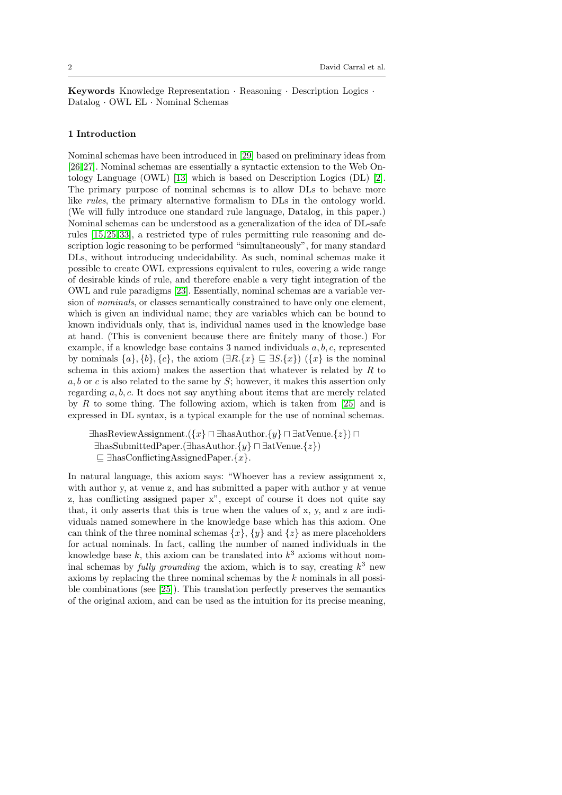Keywords Knowledge Representation · Reasoning · Description Logics · Datalog · OWL EL · Nominal Schemas

## 1 Introduction

Nominal schemas have been introduced in [\[29\]](#page-29-0) based on preliminary ideas from [\[26,](#page-28-0) [27\]](#page-29-1). Nominal schemas are essentially a syntactic extension to the Web Ontology Language (OWL) [\[13\]](#page-28-1) which is based on Description Logics (DL) [\[2\]](#page-27-0). The primary purpose of nominal schemas is to allow DLs to behave more like rules, the primary alternative formalism to DLs in the ontology world. (We will fully introduce one standard rule language, Datalog, in this paper.) Nominal schemas can be understood as a generalization of the idea of DL-safe rules [\[15,](#page-28-2) [25,](#page-28-3) [33\]](#page-29-2), a restricted type of rules permitting rule reasoning and description logic reasoning to be performed "simultaneously", for many standard DLs, without introducing undecidability. As such, nominal schemas make it possible to create OWL expressions equivalent to rules, covering a wide range of desirable kinds of rule, and therefore enable a very tight integration of the OWL and rule paradigms [\[23\]](#page-28-4). Essentially, nominal schemas are a variable version of nominals, or classes semantically constrained to have only one element, which is given an individual name; they are variables which can be bound to known individuals only, that is, individual names used in the knowledge base at hand. (This is convenient because there are finitely many of those.) For example, if a knowledge base contains 3 named individuals  $a, b, c$ , represented by nominals  $\{a\}, \{b\}, \{c\}$ , the axiom  $(\exists R.\{x\} \sqsubseteq \exists S.\{x\})$   $(\{x\}$  is the nominal schema in this axiom) makes the assertion that whatever is related by  $R$  to a, b or c is also related to the same by  $S$ ; however, it makes this assertion only regarding  $a, b, c$ . It does not say anything about items that are merely related by R to some thing. The following axiom, which is taken from  $[25]$  and is expressed in DL syntax, is a typical example for the use of nominal schemas.

∃hasReviewAssignment.({x} ⊓ ∃hasAuthor.{y} ⊓ ∃atVenue.{z}) ⊓ ∃hasSubmittedPaper.(∃hasAuthor.{y} ⊓ ∃atVenue.{z})  $\Box$  ∃hasConflictingAssignedPaper.{x}.

In natural language, this axiom says: "Whoever has a review assignment x, with author y, at venue z, and has submitted a paper with author y at venue z, has conflicting assigned paper x", except of course it does not quite say that, it only asserts that this is true when the values of x, y, and z are individuals named somewhere in the knowledge base which has this axiom. One can think of the three nominal schemas  $\{x\}$ ,  $\{y\}$  and  $\{z\}$  as mere placeholders for actual nominals. In fact, calling the number of named individuals in the knowledge base  $k$ , this axiom can be translated into  $k^3$  axioms without nominal schemas by *fully grounding* the axiom, which is to say, creating  $k^3$  new axioms by replacing the three nominal schemas by the k nominals in all possible combinations (see [\[25\]](#page-28-3)). This translation perfectly preserves the semantics of the original axiom, and can be used as the intuition for its precise meaning,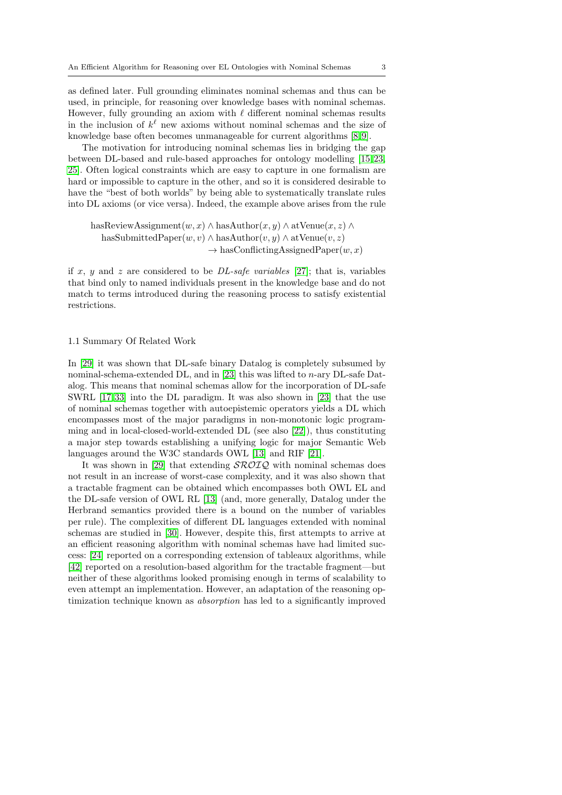as defined later. Full grounding eliminates nominal schemas and thus can be used, in principle, for reasoning over knowledge bases with nominal schemas. However, fully grounding an axiom with  $\ell$  different nominal schemas results in the inclusion of  $k^{\ell}$  new axioms without nominal schemas and the size of knowledge base often becomes unmanageable for current algorithms [\[8,](#page-28-5) [9\]](#page-28-6).

The motivation for introducing nominal schemas lies in bridging the gap between DL-based and rule-based approaches for ontology modelling [\[15,](#page-28-2) [23,](#page-28-4) [25\]](#page-28-3). Often logical constraints which are easy to capture in one formalism are hard or impossible to capture in the other, and so it is considered desirable to have the "best of both worlds" by being able to systematically translate rules into DL axioms (or vice versa). Indeed, the example above arises from the rule

hasReviewAssignment $(w, x) \wedge$ hasAuthor $(x, y) \wedge$  atVenue $(x, z) \wedge$ hasSubmittedPaper $(w, v) \wedge$ hasAuthor $(v, y) \wedge$ atVenue $(v, z)$  $\rightarrow$  hasConflictingAssignedPaper(w, x)

if x, y and z are considered to be  $DL\text{-}safe\ variables$  [\[27\]](#page-29-1); that is, variables that bind only to named individuals present in the knowledge base and do not match to terms introduced during the reasoning process to satisfy existential restrictions.

#### 1.1 Summary Of Related Work

In [\[29\]](#page-29-0) it was shown that DL-safe binary Datalog is completely subsumed by nominal-schema-extended DL, and in [\[23\]](#page-28-4) this was lifted to  $n$ -ary DL-safe Datalog. This means that nominal schemas allow for the incorporation of DL-safe SWRL [\[17,](#page-28-7) [33\]](#page-29-2) into the DL paradigm. It was also shown in [\[23\]](#page-28-4) that the use of nominal schemas together with autoepistemic operators yields a DL which encompasses most of the major paradigms in non-monotonic logic programming and in local-closed-world-extended DL (see also [\[22\]](#page-28-8)), thus constituting a major step towards establishing a unifying logic for major Semantic Web languages around the W3C standards OWL [\[13\]](#page-28-1) and RIF [\[21\]](#page-28-9).

It was shown in [\[29\]](#page-29-0) that extending  $\mathcal{SROIQ}$  with nominal schemas does not result in an increase of worst-case complexity, and it was also shown that a tractable fragment can be obtained which encompasses both OWL EL and the DL-safe version of OWL RL [\[13\]](#page-28-1) (and, more generally, Datalog under the Herbrand semantics provided there is a bound on the number of variables per rule). The complexities of different DL languages extended with nominal schemas are studied in [\[30\]](#page-29-3). However, despite this, first attempts to arrive at an efficient reasoning algorithm with nominal schemas have had limited success: [\[24\]](#page-28-10) reported on a corresponding extension of tableaux algorithms, while [\[42\]](#page-29-4) reported on a resolution-based algorithm for the tractable fragment—but neither of these algorithms looked promising enough in terms of scalability to even attempt an implementation. However, an adaptation of the reasoning optimization technique known as absorption has led to a significantly improved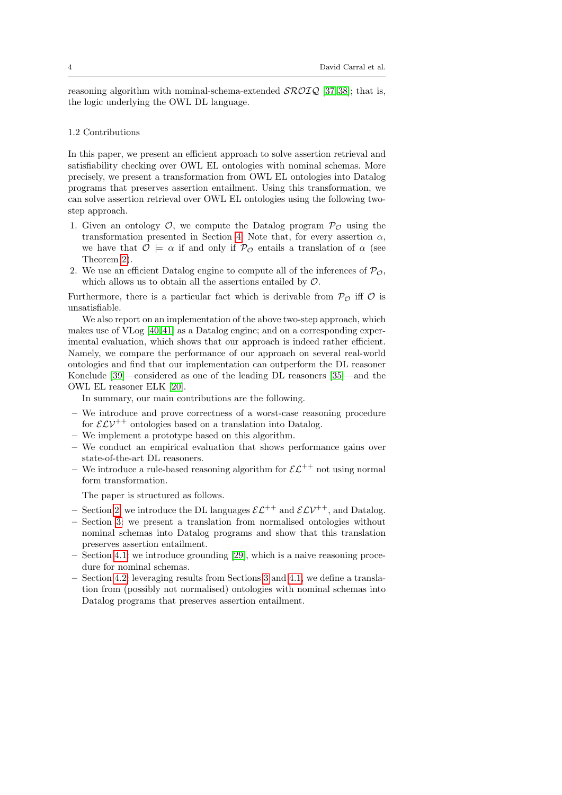reasoning algorithm with nominal-schema-extended  $\mathcal{SROLQ}$  [\[37,](#page-29-5) [38\]](#page-29-6); that is, the logic underlying the OWL DL language.

## 1.2 Contributions

In this paper, we present an efficient approach to solve assertion retrieval and satisfiability checking over OWL EL ontologies with nominal schemas. More precisely, we present a transformation from OWL EL ontologies into Datalog programs that preserves assertion entailment. Using this transformation, we can solve assertion retrieval over OWL EL ontologies using the following twostep approach.

- 1. Given an ontology  $\mathcal{O}$ , we compute the Datalog program  $\mathcal{P}_{\mathcal{O}}$  using the transformation presented in Section [4.](#page-16-0) Note that, for every assertion  $\alpha$ , we have that  $\mathcal{O} \models \alpha$  if and only if  $\mathcal{P}_{\mathcal{O}}$  entails a translation of  $\alpha$  (see Theorem [2\)](#page-21-0).
- 2. We use an efficient Datalog engine to compute all of the inferences of  $\mathcal{P}_{\mathcal{O}}$ , which allows us to obtain all the assertions entailed by  $\mathcal{O}$ .

Furthermore, there is a particular fact which is derivable from  $\mathcal{P}_{\mathcal{O}}$  iff  $\mathcal O$  is unsatisfiable.

We also report on an implementation of the above two-step approach, which makes use of VLog [\[40,](#page-29-7) [41\]](#page-29-8) as a Datalog engine; and on a corresponding experimental evaluation, which shows that our approach is indeed rather efficient. Namely, we compare the performance of our approach on several real-world ontologies and find that our implementation can outperform the DL reasoner Konclude [\[39\]](#page-29-9)—considered as one of the leading DL reasoners [\[35\]](#page-29-10)—and the OWL EL reasoner ELK [\[20\]](#page-28-11).

In summary, our main contributions are the following.

- We introduce and prove correctness of a worst-case reasoning procedure for  $\mathcal{ELV}^{++}$  ontologies based on a translation into Datalog.
- We implement a prototype based on this algorithm.
- We conduct an empirical evaluation that shows performance gains over state-of-the-art DL reasoners.
- We introduce a rule-based reasoning algorithm for  $\mathcal{EL}^{++}$  not using normal form transformation.

The paper is structured as follows.

- Section [2:](#page-4-0) we introduce the DL languages  $\mathcal{EL}^{++}$  and  $\mathcal{ELV}^{++}$ , and Datalog.
- Section [3:](#page-9-0) we present a translation from normalised ontologies without nominal schemas into Datalog programs and show that this translation preserves assertion entailment.
- Section [4.1:](#page-16-1) we introduce grounding [\[29\]](#page-29-0), which is a naive reasoning procedure for nominal schemas.
- Section [4.2:](#page-17-0) leveraging results from Sections [3](#page-9-0) and [4.1,](#page-16-1) we define a translation from (possibly not normalised) ontologies with nominal schemas into Datalog programs that preserves assertion entailment.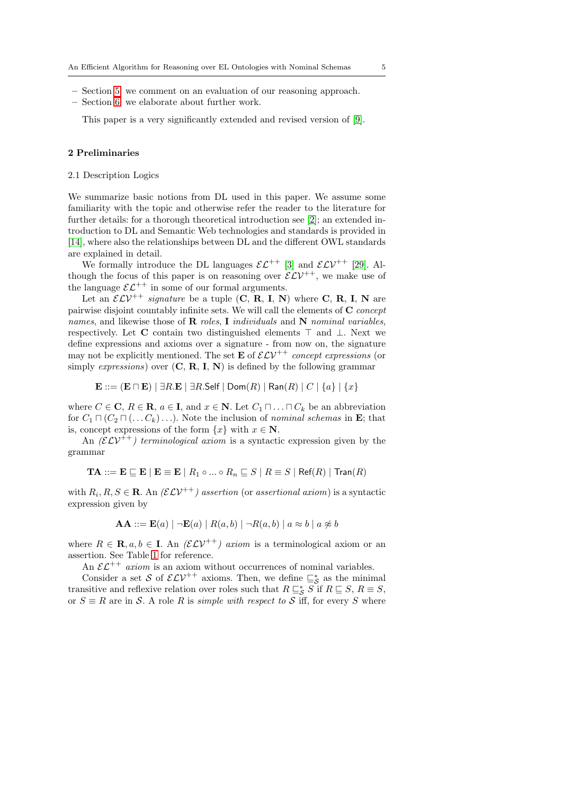- Section [5:](#page-23-0) we comment on an evaluation of our reasoning approach.
- Section [6:](#page-27-1) we elaborate about further work.

This paper is a very significantly extended and revised version of [\[9\]](#page-28-6).

### <span id="page-4-0"></span>2 Preliminaries

### <span id="page-4-1"></span>2.1 Description Logics

We summarize basic notions from DL used in this paper. We assume some familiarity with the topic and otherwise refer the reader to the literature for further details: for a thorough theoretical introduction see [\[2\]](#page-27-0); an extended introduction to DL and Semantic Web technologies and standards is provided in [\[14\]](#page-28-12), where also the relationships between DL and the different OWL standards are explained in detail.

We formally introduce the DL languages  $\mathcal{EL}^{++}$  [\[3\]](#page-27-2) and  $\mathcal{ELV}^{++}$  [\[29\]](#page-29-0). Although the focus of this paper is on reasoning over  $\mathcal{ELV}^{++}$ , we make use of the language  $\mathcal{EL}^{++}$  in some of our formal arguments.

Let an  $\mathcal{ELV}^{++}$  signature be a tuple (C, R, I, N) where C, R, I, N are pairwise disjoint countably infinite sets. We will call the elements of C concept names, and likewise those of  $\bf R$  roles, I individuals and  $\bf N$  nominal variables, respectively. Let C contain two distinguished elements ⊤ and ⊥. Next we define expressions and axioms over a signature - from now on, the signature may not be explicitly mentioned. The set  $\mathbf{E}$  of  $\mathcal{ELV}^{++}$  concept expressions (or simply expressions) over  $(C, R, I, N)$  is defined by the following grammar

 $\mathbf{E} ::= (\mathbf{E} \sqcap \mathbf{E}) \mid \exists R . \mathbf{E} \mid \exists R . \mathsf{Self} \mid \mathsf{Dom}(R) \mid \mathsf{Ran}(R) \mid C \mid \{a\} \mid \{x\}$ 

where  $C \in \mathbf{C}$ ,  $R \in \mathbf{R}$ ,  $a \in \mathbf{I}$ , and  $x \in \mathbf{N}$ . Let  $C_1 \sqcap \ldots \sqcap C_k$  be an abbreviation for  $C_1 \sqcap (C_2 \sqcap (\ldots C_k) \ldots)$ . Note the inclusion of nominal schemas in **E**; that is, concept expressions of the form  $\{x\}$  with  $x \in \mathbb{N}$ .

An  $(\mathcal{ELV}^{++})$  terminological axiom is a syntactic expression given by the grammar

$$
\mathbf{TA} ::= \mathbf{E} \sqsubseteq \mathbf{E} \mid \mathbf{E} \equiv \mathbf{E} \mid R_1 \circ \ldots \circ R_n \sqsubseteq S \mid R \equiv S \mid \mathsf{Ref}(R) \mid \mathsf{Tran}(R)
$$

with  $R_i, R, S \in \mathbf{R}$ . An  $(\mathcal{ELV}^{++})$  assertion (or assertional axiom) is a syntactic expression given by

$$
AA ::= E(a) | \neg E(a) | R(a,b) | \neg R(a,b) | a \approx b | a \not\approx b
$$

where  $R \in \mathbf{R}, a, b \in \mathbf{I}$ . An  $(\mathcal{ELV}^{++})$  axiom is a terminological axiom or an assertion. See Table [1](#page-5-0) for reference.

An  $\mathcal{EL}^{++}$  axiom is an axiom without occurrences of nominal variables.

Consider a set S of  $\mathcal{ELV}^{++}$  axioms. Then, we define  $\Xi_{\mathcal{S}}^{*}$  as the minimal transitive and reflexive relation over roles such that  $R \sqsubseteq_S^* S$  if  $R \sqsubseteq S$ ,  $R \equiv S$ , or  $S \equiv R$  are in S. A role R is *simple with respect to* S iff, for every S where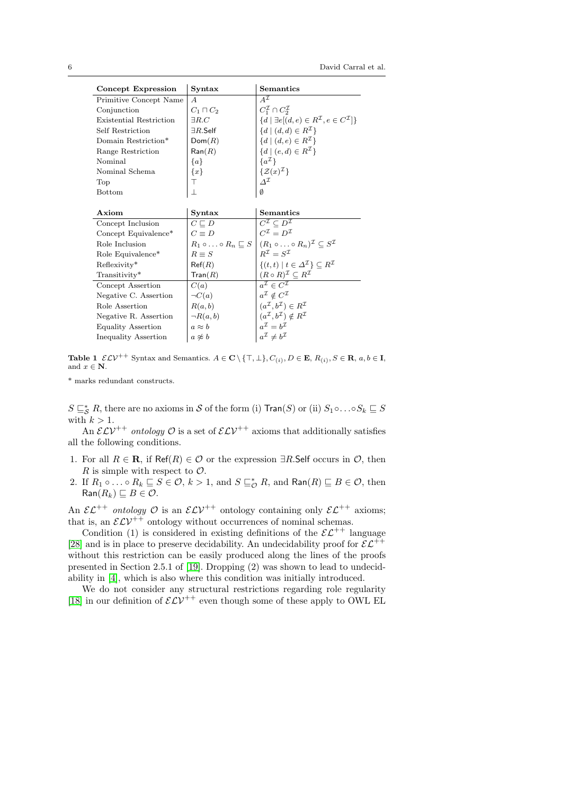| Concept Expression             | Syntax                    | Semantics                                                                                                            |
|--------------------------------|---------------------------|----------------------------------------------------------------------------------------------------------------------|
| Primitive Concept Name         | $\overline{A}$            | $A^{\mathcal{I}}$                                                                                                    |
| Conjunction                    | $C_1 \sqcap C_2$          | $C_1^{\mathcal{I}} \cap C_2^{\mathcal{I}}$                                                                           |
| <b>Existential Restriction</b> | $\exists R.C$             | $\{d \mid \exists e[(d,e) \in R^{\mathcal{I}}, e \in C^{\mathcal{I}}]\}\$                                            |
| Self Restriction               | $\exists R.\mathsf{Self}$ | $\{d \mid (d,d) \in R^{\mathcal{I}}\}\$                                                                              |
| Domain Restriction*            | Dom(R)                    | $\{d \mid (d,e) \in R^{\mathcal{I}}\}\$                                                                              |
| Range Restriction              | $\mathsf{Ran}(R)$         | $\{d \mid (e, d) \in R^{\mathcal{I}}\}\$                                                                             |
| Nominal                        | $\{a\}$                   | $\{a^{\mathcal{I}}\}$                                                                                                |
| Nominal Schema                 | ${x}$                     | $\{\mathcal{Z}(x)^{\mathcal{I}}\}$                                                                                   |
| Top                            | T                         | $\Delta^{\mathcal{I}}$                                                                                               |
| <b>Bottom</b>                  | $\perp$                   | Ø                                                                                                                    |
|                                |                           |                                                                                                                      |
| Axiom                          | Syntax                    | Semantics                                                                                                            |
| Concept Inclusion              | $C \sqsubseteq D$         | $C^{\mathcal{I}} \subset D^{\mathcal{I}}$                                                                            |
| Concept Equivalence*           | $C \equiv D$              | $C^{\mathcal{I}} = D^{\mathcal{I}}$                                                                                  |
| Role Inclusion                 |                           | $R_1 \circ \ldots \circ R_n \sqsubseteq S \mid (R_1 \circ \ldots \circ R_n)^{\mathcal{I}} \subseteq S^{\mathcal{I}}$ |
| Role Equivalence*              | $R \equiv S$              | $R^{\mathcal{I}}=S^{\mathcal{I}}$                                                                                    |
| Reflexivity*                   | Ref(R)                    | $\{(t,t)   t \in \Delta^{\mathcal{I}}\} \subseteq R^{\mathcal{I}}$                                                   |
| Transitivity*                  | $\mathsf{Tran}(R)$        | $(R \circ R)^{\mathcal{I}} \subseteq R^{\mathcal{I}}$                                                                |
| Concept Assertion              | C(a)                      | $a^{\mathcal{I}} \in C^{\mathcal{I}}$                                                                                |
| Negative C. Assertion          | $\neg C(a)$               | $a^{\mathcal{I}} \notin C^{\mathcal{I}}$                                                                             |
| Role Assertion                 | R(a,b)                    | $(a^{\mathcal{I}}, b^{\mathcal{I}}) \in R^{\mathcal{I}}$                                                             |
| Negative R. Assertion          | $\neg R(a,b)$             | $(a^{\mathcal{I}}, b^{\mathcal{I}}) \notin R^{\mathcal{I}}$                                                          |
| <b>Equality Assertion</b>      | $a \approx b$             | $a^{\mathcal{I}} = b^{\mathcal{I}}$                                                                                  |
| Inequality Assertion           | $a \not\approx b$         | $a^{\mathcal{I}} \neq b^{\mathcal{I}}$                                                                               |

<span id="page-5-0"></span>**Table 1**  $\mathcal{ELV}^{++}$  Syntax and Semantics.  $A \in \mathbb{C} \setminus \{\top, \bot\}$ ,  $C_{(i)}$ ,  $D \in \mathbb{E}$ ,  $R_{(i)}$ ,  $S \in \mathbb{R}$ ,  $a, b \in \mathbb{I}$ , and  $x \in \mathbb{N}$ .

\* marks redundant constructs.

 $S \sqsubseteq_S^* R$ , there are no axioms in S of the form (i) Tran(S) or (ii)  $S_1 \circ \ldots \circ S_k \sqsubseteq S$ with  $k > 1$ .

An  $\mathcal{ELV}^{++}$  ontology  $\mathcal O$  is a set of  $\mathcal{ELV}^{++}$  axioms that additionally satisfies all the following conditions.

- 1. For all  $R \in \mathbf{R}$ , if Ref(R)  $\in \mathcal{O}$  or the expression  $\exists R$ . Self occurs in  $\mathcal{O}$ , then R is simple with respect to  $\mathcal{O}$ .
- 2. If  $R_1 \circ \ldots \circ R_k \sqsubseteq S \in \mathcal{O}, k > 1$ , and  $S \sqsubseteq_{\mathcal{O}}^* R$ , and  $\textsf{Ran}(R) \sqsubseteq B \in \mathcal{O}$ , then  $\textsf{Ran}(R_k) \sqsubseteq B \in \mathcal{O}.$

An  $\mathcal{EL}^{++}$  ontology  $\mathcal O$  is an  $\mathcal{ELV}^{++}$  ontology containing only  $\mathcal{EL}^{++}$  axioms; that is, an  $\mathcal{ELV}^{++}$  ontology without occurrences of nominal schemas.

Condition (1) is considered in existing definitions of the  $\mathcal{E} \mathcal{L}^{++}$  language [\[28\]](#page-29-11) and is in place to preserve decidability. An undecidability proof for  $\mathcal{EL}^{++}$ without this restriction can be easily produced along the lines of the proofs presented in Section 2.5.1 of [\[19\]](#page-28-13). Dropping (2) was shown to lead to undecidability in [\[4\]](#page-27-3), which is also where this condition was initially introduced.

We do not consider any structural restrictions regarding role regularity [\[18\]](#page-28-14) in our definition of  $\mathcal{ELV}^{++}$  even though some of these apply to OWL EL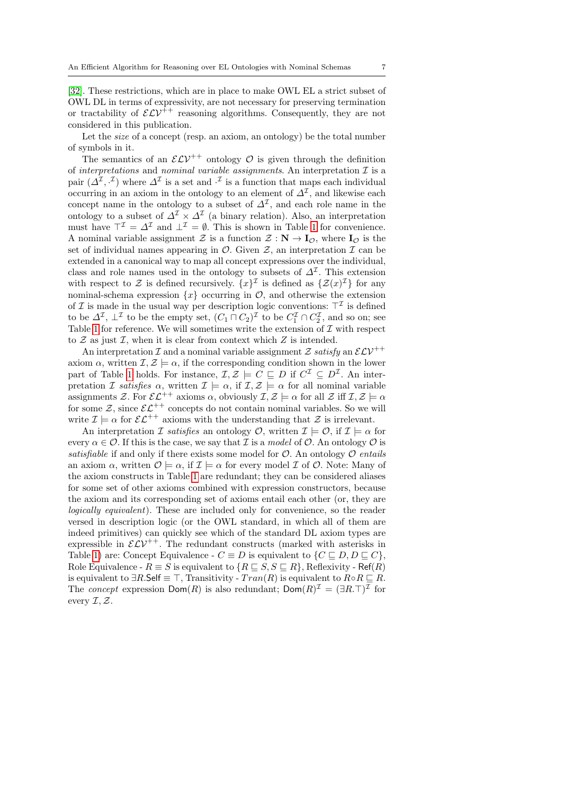[\[32\]](#page-29-12). These restrictions, which are in place to make OWL EL a strict subset of OWL DL in terms of expressivity, are not necessary for preserving termination or tractability of  $\mathcal{ELV}^{\ddagger+}$  reasoning algorithms. Consequently, they are not considered in this publication.

Let the *size* of a concept (resp. an axiom, an ontology) be the total number of symbols in it.

The semantics of an  $\mathcal{ELV}^{++}$  ontology  $\mathcal O$  is given through the definition of interpretations and nominal variable assignments. An interpretation  $\mathcal I$  is a pair  $(\Delta^{\mathcal{I}}, \cdot^{\mathcal{I}})$  where  $\Delta^{\mathcal{I}}$  is a set and  $\cdot^{\mathcal{I}}$  is a function that maps each individual occurring in an axiom in the ontology to an element of  $\Delta^{\mathcal{I}}$ , and likewise each concept name in the ontology to a subset of  $\Delta^{\mathcal{I}}$ , and each role name in the ontology to a subset of  $\Delta^{\mathcal{I}} \times \Delta^{\mathcal{I}}$  (a binary relation). Also, an interpretation must have  $\top^{\mathcal{I}} = \Delta^{\mathcal{I}}$  and  $\bot^{\mathcal{I}} = \emptyset$ . This is shown in Table [1](#page-5-0) for convenience. A nominal variable assignment Z is a function  $\mathcal{Z}: \mathbf{N} \to \mathbf{I}_{\mathcal{O}}$ , where  $\mathbf{I}_{\mathcal{O}}$  is the set of individual names appearing in  $\mathcal{O}$ . Given  $\mathcal{Z}$ , an interpretation  $\mathcal{I}$  can be extended in a canonical way to map all concept expressions over the individual, class and role names used in the ontology to subsets of  $\Delta^{\mathcal{I}}$ . This extension with respect to Z is defined recursively.  $\{x\}^{\mathcal{I}}$  is defined as  $\{\mathcal{Z}(x)^{\mathcal{I}}\}$  for any nominal-schema expression  $\{x\}$  occurring in  $\mathcal{O}$ , and otherwise the extension of I is made in the usual way per description logic conventions:  $\top^{\mathcal{I}}$  is defined to be  $\Delta^{\mathcal{I}}$ ,  $\perp^{\mathcal{I}}$  to be the empty set,  $(C_1 \sqcap C_2)^{\mathcal{I}}$  to be  $C_1^{\mathcal{I}} \cap C_2^{\mathcal{I}}$ , and so on; see Table [1](#page-5-0) for reference. We will sometimes write the extension of  $\mathcal I$  with respect to  $Z$  as just  $\mathcal{I}$ , when it is clear from context which  $Z$  is intended.

An interpretation  $\mathcal I$  and a nominal variable assignment  $\mathcal Z$  satisfy an  $\mathcal E \mathcal L V^{++}$ axiom  $\alpha$ , written  $\mathcal{I}, \mathcal{Z} \models \alpha$ , if the corresponding condition shown in the lower part of Table [1](#page-5-0) holds. For instance,  $\mathcal{I}, \mathcal{Z} \models C \sqsubseteq D$  if  $C^{\mathcal{I}} \subseteq D^{\mathcal{I}}$ . An interpretation I satisfies  $\alpha$ , written  $\mathcal{I} \models \alpha$ , if  $\mathcal{I}, \mathcal{Z} \models \alpha$  for all nominal variable assignments Z. For  $\mathcal{EL}^{++}$  axioms  $\alpha$ , obviously  $\mathcal{I}, \mathcal{Z} \models \alpha$  for all  $\mathcal{Z}$  iff  $\mathcal{I}, \mathcal{Z} \models \alpha$ for some  $\mathcal{Z}$ , since  $\mathcal{E}\mathcal{L}^{++}$  concepts do not contain nominal variables. So we will write  $\mathcal{I} \models \alpha$  for  $\mathcal{EL}^{++}$  axioms with the understanding that  $\mathcal Z$  is irrelevant.

An interpretation I satisfies an ontology  $\mathcal{O}$ , written  $\mathcal{I} \models \mathcal{O}$ , if  $\mathcal{I} \models \alpha$  for every  $\alpha \in \mathcal{O}$ . If this is the case, we say that  $\mathcal I$  is a model of  $\mathcal O$ . An ontology  $\mathcal O$  is satisfiable if and only if there exists some model for  $O$ . An ontology  $O$  entails an axiom  $\alpha$ , written  $\mathcal{O} \models \alpha$ , if  $\mathcal{I} \models \alpha$  for every model  $\mathcal{I}$  of  $\mathcal{O}$ . Note: Many of the axiom constructs in Table [1](#page-5-0) are redundant; they can be considered aliases for some set of other axioms combined with expression constructors, because the axiom and its corresponding set of axioms entail each other (or, they are logically equivalent). These are included only for convenience, so the reader versed in description logic (or the OWL standard, in which all of them are indeed primitives) can quickly see which of the standard DL axiom types are expressible in  $\mathcal{ELV}^{++}$ . The redundant constructs (marked with asterisks in Table [1\)](#page-5-0) are: Concept Equivalence -  $C \equiv D$  is equivalent to  $\{C \sqsubseteq D, D \sqsubseteq C\}$ , Role Equivalence -  $R \equiv S$  is equivalent to  $\{R \sqsubseteq S, S \sqsubseteq R\}$ , Reflexivity - Ref(R) is equivalent to  $\exists R$ . Self  $\equiv \top$ , Transitivity -  $Tran(R)$  is equivalent to  $R \circ R \sqsubseteq R$ . The concept expression  $Dom(R)$  is also redundant;  $Dom(R)^{\mathcal{I}} = (\exists R.\top)^{\mathcal{I}}$  for every  $\mathcal{I}, \mathcal{Z}.$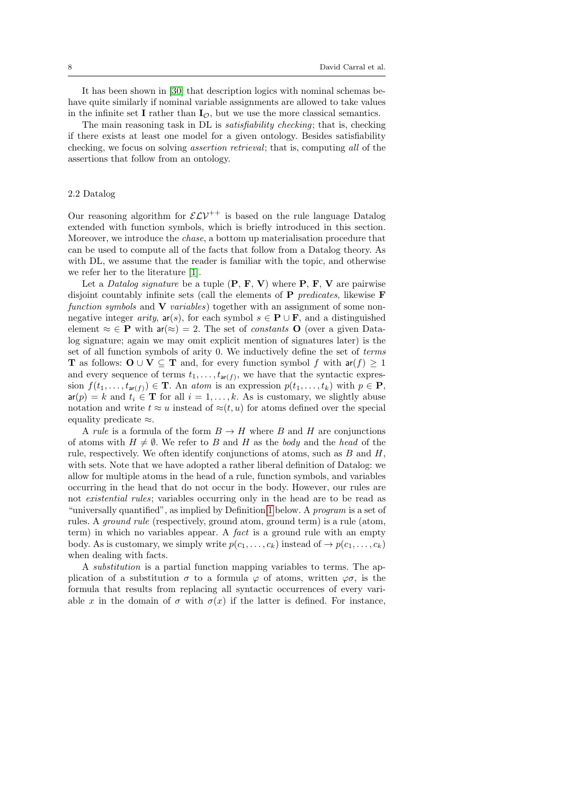It has been shown in [\[30\]](#page-29-3) that description logics with nominal schemas behave quite similarly if nominal variable assignments are allowed to take values in the infinite set I rather than  $I_{\mathcal{O}}$ , but we use the more classical semantics.

The main reasoning task in DL is satisfiability checking; that is, checking if there exists at least one model for a given ontology. Besides satisfiability checking, we focus on solving assertion retrieval; that is, computing all of the assertions that follow from an ontology.

## <span id="page-7-0"></span>2.2 Datalog

Our reasoning algorithm for  $\mathcal{ELV}^{++}$  is based on the rule language Datalog extended with function symbols, which is briefly introduced in this section. Moreover, we introduce the chase, a bottom up materialisation procedure that can be used to compute all of the facts that follow from a Datalog theory. As with DL, we assume that the reader is familiar with the topic, and otherwise we refer her to the literature [\[1\]](#page-27-4).

Let a *Datalog signature* be a tuple  $(P, F, V)$  where P, F, V are pairwise disjoint countably infinite sets (call the elements of  $P$  *predicates*, likewise  $F$ function symbols and  $V$  variables) together with an assignment of some nonnegative integer arity,  $ar(s)$ , for each symbol  $s \in \mathbf{P} \cup \mathbf{F}$ , and a distinguished element  $\approx \in \mathbf{P}$  with  $ar(\approx) = 2$ . The set of *constants* **O** (over a given Datalog signature; again we may omit explicit mention of signatures later) is the set of all function symbols of arity 0. We inductively define the set of terms **T** as follows:  $\mathbf{O} \cup \mathbf{V} \subseteq \mathbf{T}$  and, for every function symbol f with  $\mathsf{ar}(f) \geq 1$ and every sequence of terms  $t_1, \ldots, t_{\text{ar}(f)}$ , we have that the syntactic expression  $f(t_1, \ldots, t_{\mathsf{ar}(f)}) \in \mathbf{T}$ . An atom is an expression  $p(t_1, \ldots, t_k)$  with  $p \in \mathbf{P}$ ,  $ar(p) = k$  and  $t_i \in T$  for all  $i = 1, ..., k$ . As is customary, we slightly abuse notation and write  $t \approx u$  instead of  $\approx (t, u)$  for atoms defined over the special equality predicate ≈.

A rule is a formula of the form  $B \to H$  where B and H are conjunctions of atoms with  $H \neq \emptyset$ . We refer to B and H as the body and the head of the rule, respectively. We often identify conjunctions of atoms, such as  $B$  and  $H$ , with sets. Note that we have adopted a rather liberal definition of Datalog: we allow for multiple atoms in the head of a rule, function symbols, and variables occurring in the head that do not occur in the body. However, our rules are not existential rules; variables occurring only in the head are to be read as "universally quantified", as implied by Definition [1](#page-8-0) below. A program is a set of rules. A ground rule (respectively, ground atom, ground term) is a rule (atom, term) in which no variables appear. A fact is a ground rule with an empty body. As is customary, we simply write  $p(c_1, \ldots, c_k)$  instead of  $\rightarrow p(c_1, \ldots, c_k)$ when dealing with facts.

A substitution is a partial function mapping variables to terms. The application of a substitution  $\sigma$  to a formula  $\varphi$  of atoms, written  $\varphi \sigma$ , is the formula that results from replacing all syntactic occurrences of every variable x in the domain of  $\sigma$  with  $\sigma(x)$  if the latter is defined. For instance,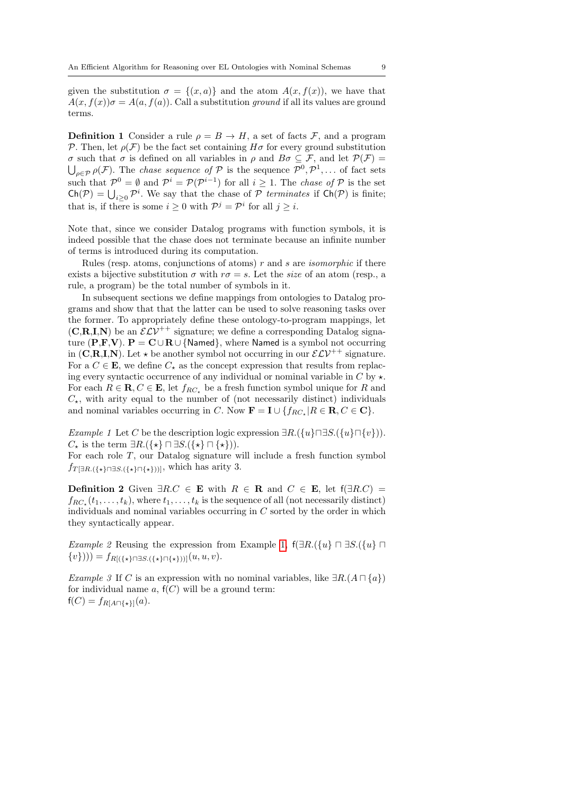given the substitution  $\sigma = \{(x, a)\}\$ and the atom  $A(x, f(x))$ , we have that  $A(x, f(x))\sigma = A(a, f(a))$ . Call a substitution ground if all its values are ground terms.

<span id="page-8-0"></span>**Definition 1** Consider a rule  $\rho = B \rightarrow H$ , a set of facts F, and a program P. Then, let  $\rho(\mathcal{F})$  be the fact set containing  $H\sigma$  for every ground substitution σ such that σ is defined on all variables in ρ and Bσ ⊆ F, and let P(F) =  $\bigcup_{\rho \in \mathcal{P}} \rho(\mathcal{F})$ . The *chase sequence of*  $\mathcal{P}$  is the sequence  $\mathcal{P}^0, \mathcal{P}^1, \ldots$  of fact sets such that  $\mathcal{P}^0 = \emptyset$  and  $\mathcal{P}^i = \mathcal{P}(\mathcal{P}^{i-1})$  for all  $i \geq 1$ . The *chase of*  $\mathcal P$  is the set  $Ch(\mathcal{P}) = \bigcup_{i \geq 0} \mathcal{P}^i$ . We say that the chase of  $\mathcal P$  terminates if  $Ch(\mathcal{P})$  is finite; that is, if there is some  $i \geq 0$  with  $\mathcal{P}^j = \mathcal{P}^i$  for all  $j \geq i$ .

Note that, since we consider Datalog programs with function symbols, it is indeed possible that the chase does not terminate because an infinite number of terms is introduced during its computation.

Rules (resp. atoms, conjunctions of atoms)  $r$  and  $s$  are *isomorphic* if there exists a bijective substitution  $\sigma$  with  $r\sigma = s$ . Let the *size* of an atom (resp., a rule, a program) be the total number of symbols in it.

In subsequent sections we define mappings from ontologies to Datalog programs and show that that the latter can be used to solve reasoning tasks over the former. To appropriately define these ontology-to-program mappings, let  $(C, R, I, N)$  be an  $\mathcal{ELV}^{++}$  signature; we define a corresponding Datalog signature (P,F,V).  $P = C \cup R \cup \{Name\}$ , where Named is a symbol not occurring in (C,R,I,N). Let  $\star$  be another symbol not occurring in our  $\mathcal{ELV}^{++}$  signature. For a  $C \in \mathbf{E}$ , we define  $C_{\star}$  as the concept expression that results from replacing every syntactic occurrence of any individual or nominal variable in  $C$  by  $\star$ . For each  $R \in \mathbf{R}, C \in \mathbf{E}$ , let  $f_{RC_*}$  be a fresh function symbol unique for R and  $C_{\star}$ , with arity equal to the number of (not necessarily distinct) individuals and nominal variables occurring in C. Now  $\mathbf{F} = \mathbf{I} \cup \{f_{RC_\star} | R \in \mathbf{R}, C \in \mathbf{C}\}.$ 

<span id="page-8-1"></span>Example 1 Let C be the description logic expression  $\exists R.(\lbrace u \rbrace \sqcap \exists S.(\lbrace u \rbrace \sqcap \lbrace v \rbrace))$ .  $C_{\star}$  is the term  $\exists R.(\{\star\} \sqcap \exists S.(\{\star\} \sqcap \{\star\})).$ 

For each role T, our Datalog signature will include a fresh function symbol  $f_{T[\exists R.(\{\star\} \cap \{\star\}] \cap {\{\star\}})}$ , which has arity 3.

<span id="page-8-2"></span>**Definition 2** Given  $\exists R.C \in \mathbf{E}$  with  $R \in \mathbf{R}$  and  $C \in \mathbf{E}$ , let  $f(\exists R.C)$  =  $f_{RC_{\star}}(t_1,\ldots,t_k)$ , where  $t_1,\ldots,t_k$  is the sequence of all (not necessarily distinct) individuals and nominal variables occurring in  $C$  sorted by the order in which they syntactically appear.

Example 2 Reusing the expression from Example [1,](#page-8-1)  $f(\exists R.({u \in \exists S.}$  $\{v\})$ ) =  $f_{R[(\{*\}\sqcap \exists S.(\{\star\}\sqcap \{\star\}))]}(u,u,v).$ 

Example 3 If C is an expression with no nominal variables, like  $\exists R.(A \sqcap \{a\})$ for individual name  $a$ ,  $f(C)$  will be a ground term:  $f(C) = f_{R[A \sqcap {\{\star\} \}}(a).$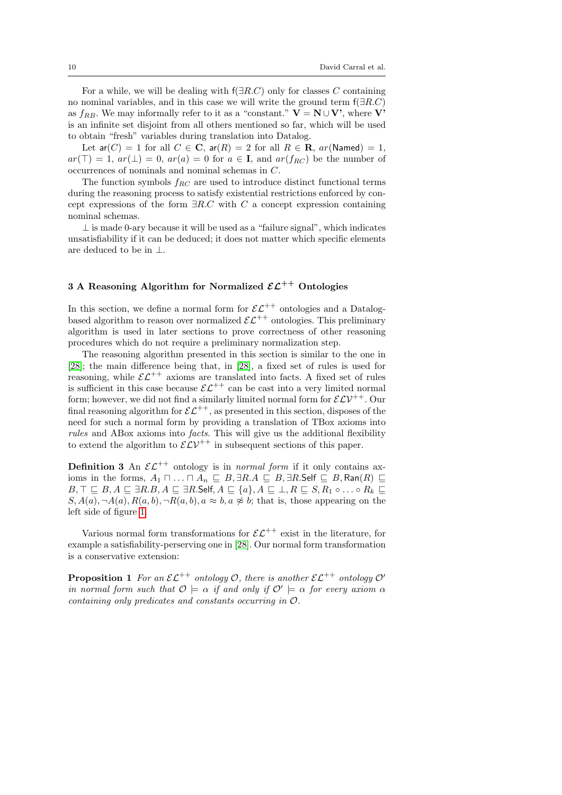For a while, we will be dealing with  $f(\exists R.C)$  only for classes C containing no nominal variables, and in this case we will write the ground term  $f(\exists R.C)$ as  $f_{RB}$ . We may informally refer to it as a "constant."  $V = N \cup V'$ , where V' is an infinite set disjoint from all others mentioned so far, which will be used to obtain "fresh" variables during translation into Datalog.

Let  $ar(C) = 1$  for all  $C \in \mathbb{C}$ ,  $ar(R) = 2$  for all  $R \in \mathbb{R}$ ,  $ar(\text{Named}) = 1$ ,  $ar(\top) = 1, ar(\bot) = 0, ar(a) = 0$  for  $a \in I$ , and  $ar(f_{RC})$  be the number of occurrences of nominals and nominal schemas in C.

The function symbols  $f_{RC}$  are used to introduce distinct functional terms during the reasoning process to satisfy existential restrictions enforced by concept expressions of the form  $\exists R.C$  with C a concept expression containing nominal schemas.

 $\perp$  is made 0-ary because it will be used as a "failure signal", which indicates unsatisfiability if it can be deduced; it does not matter which specific elements are deduced to be in ⊥.

# <span id="page-9-0"></span>3 A Reasoning Algorithm for Normalized  $\mathcal{EL}^{++}$  Ontologies

In this section, we define a normal form for  $\mathcal{EL}^{++}$  ontologies and a Datalogbased algorithm to reason over normalized  $\mathcal{EL}^{++}$  ontologies. This preliminary algorithm is used in later sections to prove correctness of other reasoning procedures which do not require a preliminary normalization step.

The reasoning algorithm presented in this section is similar to the one in [\[28\]](#page-29-11); the main difference being that, in [\[28\]](#page-29-11), a fixed set of rules is used for reasoning, while  $\mathcal{EL}^{++}$  axioms are translated into facts. A fixed set of rules is sufficient in this case because  $\mathcal{EL}^{++}$  can be cast into a very limited normal form; however, we did not find a similarly limited normal form for  $\mathcal{ELV}^{++}$ . Our final reasoning algorithm for  $\mathcal{EL}^{++}$ , as presented in this section, disposes of the need for such a normal form by providing a translation of TBox axioms into rules and ABox axioms into *facts*. This will give us the additional flexibility to extend the algorithm to  $\mathcal{ELV}^{++}$  in subsequent sections of this paper.

**Definition 3** An  $\mathcal{EL}^{++}$  ontology is in *normal form* if it only contains axioms in the forms,  $A_1 \sqcap ... \sqcap A_n \sqsubseteq B$ ,  $\exists R.A \sqsubseteq B$ ,  $\exists R$ . Self  $\sqsubseteq B$ ,  $\text{Ran}(R) \sqsubseteq$  $B, \top \sqsubseteq B, A \sqsubseteq \exists R.B, A \sqsubseteq \exists R.\mathsf{Self}, A \sqsubseteq \{a\}, A \sqsubseteq \bot, R \sqsubseteq S, R_1 \circ \ldots \circ R_k \sqsubseteq$  $S, A(a), \neg A(a), R(a, b), \neg R(a, b), a \approx b, a \not\approx b$ ; that is, those appearing on the left side of figure [1.](#page-10-0)

Various normal form transformations for  $\mathcal{E} \mathcal{L}^{++}$  exist in the literature, for example a satisfiability-perserving one in [\[28\]](#page-29-11). Our normal form transformation is a conservative extension:

**Proposition 1** For an  $\mathcal{EL}^{++}$  ontology  $\mathcal{O}$ , there is another  $\mathcal{EL}^{++}$  ontology  $\mathcal{O}'$ in normal form such that  $\mathcal{O} \models \alpha$  if and only if  $\mathcal{O}' \models \alpha$  for every axiom  $\alpha$ containing only predicates and constants occurring in O.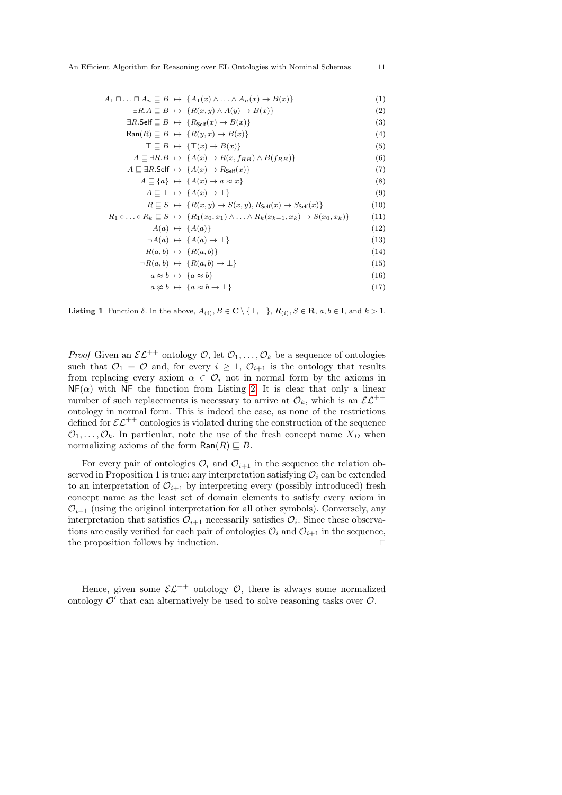|  | $A_1 \sqcap \ldots \sqcap A_n \sqsubseteq B \rightarrow \{A_1(x) \wedge \ldots \wedge A_n(x) \rightarrow B(x)\}\$                    | (1)  |
|--|--------------------------------------------------------------------------------------------------------------------------------------|------|
|  | $\exists R.A \sqsubset B \mapsto \{R(x,y) \land A(y) \rightarrow B(x)\}\$                                                            | (2)  |
|  | $\exists R.\mathsf{Self} \sqsubseteq B \mapsto \{R_{\mathsf{Self}}(x) \to B(x)\}\$                                                   | (3)  |
|  | $\textsf{Ran}(R) \sqsubseteq B \mapsto \{R(y,x) \rightarrow B(x)\}\$                                                                 | (4)  |
|  | $\top \sqsubseteq B \mapsto \{\top(x) \to B(x)\}\$                                                                                   | (5)  |
|  | $A \sqsubseteq \exists R.B \mapsto \{A(x) \rightarrow R(x, f_{RB}) \wedge B(f_{RB})\}$                                               | (6)  |
|  | $A \sqsubseteq \exists R$ . Self $\mapsto \{A(x) \rightarrow R_{\mathsf{Self}}(x)\}\$                                                | (7)  |
|  | $A \sqsubseteq \{a\} \mapsto \{A(x) \rightarrow a \approx x\}$                                                                       | (8)  |
|  | $A \sqsubseteq \bot \mapsto \{A(x) \rightarrow \bot\}$                                                                               | (9)  |
|  | $R \sqsubseteq S \mapsto \{R(x,y) \rightarrow S(x,y), R_{\mathsf{Self}}(x) \rightarrow S_{\mathsf{Self}}(x)\}\$                      | (10) |
|  | $R_1 \circ \ldots \circ R_k \sqsubseteq S \mapsto \{R_1(x_0, x_1) \wedge \ldots \wedge R_k(x_{k-1}, x_k) \rightarrow S(x_0, x_k)\}\$ | (11) |
|  | $A(a) \mapsto \{A(a)\}\$                                                                                                             | (12) |
|  | $\neg A(a) \mapsto \{A(a) \rightarrow \bot\}$                                                                                        | (13) |
|  | $R(a, b) \mapsto \{R(a, b)\}\$                                                                                                       | (14) |
|  | $\neg R(a,b) \rightarrow \{R(a,b) \rightarrow \bot\}$                                                                                | (15) |
|  | $a \approx b \mapsto \{a \approx b\}$                                                                                                | (16) |
|  | $a \not\approx b \mapsto \{a \approx b \rightarrow \perp\}$                                                                          | (17) |

<span id="page-10-0"></span>**Listing 1** Function  $\delta$ . In the above,  $A_{(i)}$ ,  $B \in \mathbb{C} \setminus \{\top, \bot\}$ ,  $R_{(i)}$ ,  $S \in \mathbb{R}$ ,  $a, b \in \mathbb{I}$ , and  $k > 1$ .

*Proof* Given an  $\mathcal{EL}^{++}$  ontology  $\mathcal{O}$ , let  $\mathcal{O}_1, \ldots, \mathcal{O}_k$  be a sequence of ontologies such that  $\mathcal{O}_1 = \mathcal{O}$  and, for every  $i \geq 1$ ,  $\mathcal{O}_{i+1}$  is the ontology that results from replacing every axiom  $\alpha \in \mathcal{O}_i$  not in normal form by the axioms in  $N_{\text{F}}(\alpha)$  with NF the function from Listing [2.](#page-11-0) It is clear that only a linear number of such replacements is necessary to arrive at  $\mathcal{O}_k$ , which is an  $\mathcal{EL}^{++}$ ontology in normal form. This is indeed the case, as none of the restrictions defined for  $\mathcal{EL}^{++}$  ontologies is violated during the construction of the sequence  $\mathcal{O}_1, \ldots, \mathcal{O}_k$ . In particular, note the use of the fresh concept name  $X_D$  when normalizing axioms of the form  $\textsf{Ran}(R) \sqsubseteq B$ .

For every pair of ontologies  $\mathcal{O}_i$  and  $\mathcal{O}_{i+1}$  in the sequence the relation observed in Proposition 1 is true: any interpretation satisfying  $\mathcal{O}_i$  can be extended to an interpretation of  $\mathcal{O}_{i+1}$  by interpreting every (possibly introduced) fresh concept name as the least set of domain elements to satisfy every axiom in  $\mathcal{O}_{i+1}$  (using the original interpretation for all other symbols). Conversely, any interpretation that satisfies  $\mathcal{O}_{i+1}$  necessarily satisfies  $\mathcal{O}_i$ . Since these observations are easily verified for each pair of ontologies  $\mathcal{O}_i$  and  $\mathcal{O}_{i+1}$  in the sequence, the proposition follows by induction. □

Hence, given some  $\mathcal{EL}^{++}$  ontology  $\mathcal{O}$ , there is always some normalized ontology  $\mathcal{O}'$  that can alternatively be used to solve reasoning tasks over  $\mathcal{O}$ .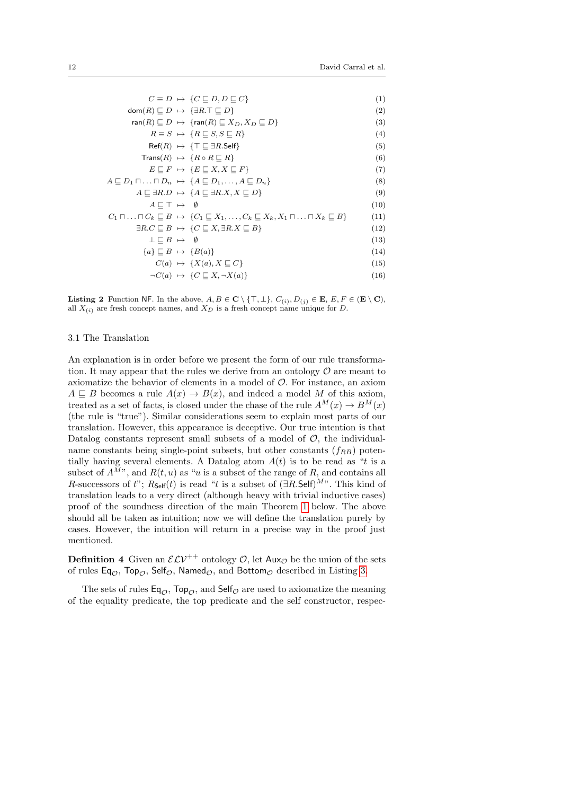|                                                             | $C \equiv D \rightarrow \{C \sqsubset D, D \sqsubset C\}$                                                                                                 | (1)  |
|-------------------------------------------------------------|-----------------------------------------------------------------------------------------------------------------------------------------------------------|------|
| $dom(R) \sqsubset D \mapsto \{\exists R.\top \sqsubset D\}$ |                                                                                                                                                           | (2)  |
|                                                             | ran(R) $\Box$ $D \rightarrow \{ran(R) \sqsubset X_D, X_D \sqsubset D\}$                                                                                   | (3)  |
|                                                             | $R \equiv S \rightarrow \{R \sqsubseteq S, S \sqsubseteq R\}$                                                                                             | (4)  |
|                                                             | $\mathsf{Ref}(R) \rightarrow \{\top \sqsubset \exists R.\mathsf{Self}\}\$                                                                                 | (5)  |
|                                                             | $Trans(R) \rightarrow \{R \circ R \sqsubset R\}$                                                                                                          | (6)  |
|                                                             | $E \sqsubset F \mapsto \{E \sqsubset X, X \sqsubset F\}$                                                                                                  | (7)  |
|                                                             | $A \sqsubseteq D_1 \sqcap \ldots \sqcap D_n \rightarrow \{A \sqsubseteq D_1, \ldots, A \sqsubseteq D_n\}$                                                 | (8)  |
|                                                             | $A \sqsubseteq \exists R.D \mapsto \{A \sqsubseteq \exists R.X, X \sqsubseteq D\}$                                                                        | (9)  |
| $A \sqsubset \top \mapsto \emptyset$                        |                                                                                                                                                           | (10) |
|                                                             | $C_1 \sqcap \ldots \sqcap C_k \sqsubseteq B \rightarrow \{C_1 \sqsubseteq X_1, \ldots, C_k \sqsubseteq X_k, X_1 \sqcap \ldots \sqcap X_k \sqsubseteq B\}$ | (11) |
|                                                             | $\exists R.C \sqsubset B \mapsto \{C \sqsubset X, \exists R.X \sqsubset B\}$                                                                              | (12) |
| $\bot \sqsubseteq B \ \mapsto \ \emptyset$                  |                                                                                                                                                           | (13) |
| ${a} \sqsubseteq B \mapsto {B(a)}$                          |                                                                                                                                                           | (14) |
|                                                             | $C(a) \rightarrow \{X(a), X \sqsubset C\}$                                                                                                                | (15) |
|                                                             | $\neg C(a) \rightarrow \{C \sqsubseteq X, \neg X(a)\}\$                                                                                                   | (16) |

<span id="page-11-0"></span>**Listing 2** Function NF. In the above,  $A, B \in \mathbb{C} \setminus \{\top, \bot\}$ ,  $C_{(i)}, D_{(j)} \in \mathbb{E}$ ,  $E, F \in (\mathbb{E} \setminus \mathbb{C})$ , all  $X_{(i)}$  are fresh concept names, and  $X_D$  is a fresh concept name unique for D.

### 3.1 The Translation

An explanation is in order before we present the form of our rule transformation. It may appear that the rules we derive from an ontology  $\mathcal O$  are meant to axiomatize the behavior of elements in a model of O. For instance, an axiom  $A \subseteq B$  becomes a rule  $A(x) \to B(x)$ , and indeed a model M of this axiom, treated as a set of facts, is closed under the chase of the rule  $A^M(x) \to B^M(x)$ (the rule is "true"). Similar considerations seem to explain most parts of our translation. However, this appearance is deceptive. Our true intention is that Datalog constants represent small subsets of a model of  $\mathcal{O}$ , the individualname constants being single-point subsets, but other constants  $(f_{RB})$  potentially having several elements. A Datalog atom  $A(t)$  is to be read as "t is a subset of  $A^{M}$ , and  $R(t, u)$  as "u is a subset of the range of R, and contains all R-successors of t";  $R_{\text{Self}}(t)$  is read "t is a subset of  $(\exists R.\mathsf{Self})^{M}$ ". This kind of translation leads to a very direct (although heavy with trivial inductive cases) proof of the soundness direction of the main Theorem [1](#page-12-0) below. The above should all be taken as intuition; now we will define the translation purely by cases. However, the intuition will return in a precise way in the proof just mentioned.

**Definition 4** Given an  $\mathcal{ELV}^{++}$  ontology  $\mathcal{O}$ , let  $\mathsf{Aux}_{\mathcal{O}}$  be the union of the sets of rules Eq<sub> $\varphi$ </sub>, Top<sub> $\varphi$ </sub>, Self $\varphi$ , Named $\varphi$ , and Bottom $\varphi$  described in Listing [3.](#page-12-1)

The sets of rules  $Eq_{\mathcal{O}}$ , Top<sub> $\mathcal{O}$ </sub>, and Self<sub> $\mathcal{O}$ </sub> are used to axiomatize the meaning of the equality predicate, the top predicate and the self constructor, respec-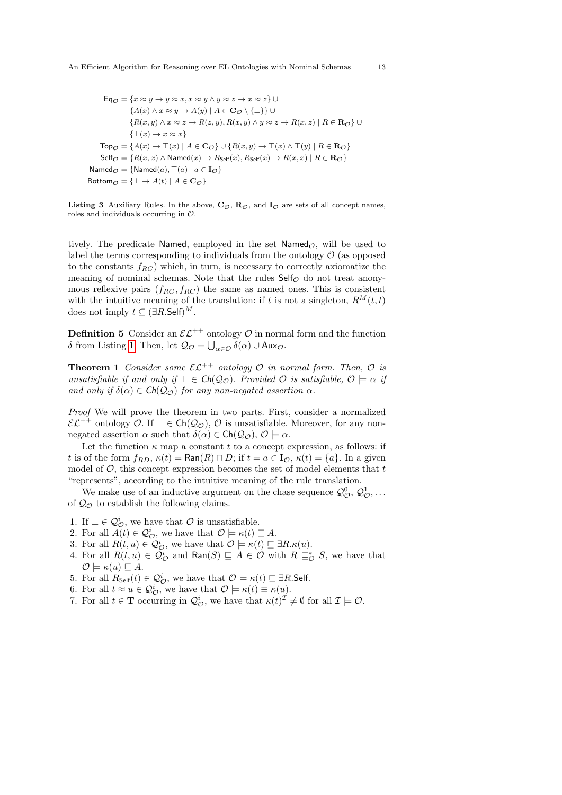$\mathsf{Eq}_{\mathcal{O}} = \{x \approx y \rightarrow y \approx x, x \approx y \land y \approx z \rightarrow x \approx z\}$  ${A(x) \land x \approx y \to A(y) \mid A \in \mathbf{C}_{\mathcal{O}} \setminus {\{\perp\}\}} \cup$  ${R(x,y) \land x \approx z \rightarrow R(z,y), R(x,y) \land y \approx z \rightarrow R(x,z) | R \in \mathbf{R}_{\mathcal{O}}}\cup$  $\{\top(x) \to x \approx x\}$  $\mathsf{Top}_{\mathcal{O}} = \{A(x) \to \top(x) \mid A \in \mathbf{C}_{\mathcal{O}}\} \cup \{R(x, y) \to \top(x) \land \top(y) \mid R \in \mathbf{R}_{\mathcal{O}}\}$  $\mathsf{Self}_{\mathcal{O}} = \{ R(x, x) \land \mathsf{Named}(x) \rightarrow R_{\mathsf{Self}}(x), R_{\mathsf{Self}}(x) \rightarrow R(x, x) \mid R \in \mathbf{R}_{\mathcal{O}} \}$ Named $\varphi = \{\mathsf{Named}(a), \top(a) \mid a \in \mathbf{I}_{\mathcal{O}}\}$ Bottom $\mathcal{O} = {\perp \rightarrow A(t) | A \in \mathbf{C}_{\mathcal{O}}}$ 

<span id="page-12-1"></span>Listing 3 Auxiliary Rules. In the above,  $C_{\mathcal{O}}$ ,  $R_{\mathcal{O}}$ , and  $I_{\mathcal{O}}$  are sets of all concept names, roles and individuals occurring in O.

tively. The predicate Named, employed in the set Named<sub> $\varphi$ </sub>, will be used to label the terms corresponding to individuals from the ontology  $\mathcal{O}$  (as opposed to the constants  $f_{RC}$ ) which, in turn, is necessary to correctly axiomatize the meaning of nominal schemas. Note that the rules  $\mathsf{Self}_\mathcal{O}$  do not treat anonymous reflexive pairs  $(f_{RC}, f_{RC})$  the same as named ones. This is consistent with the intuitive meaning of the translation: if t is not a singleton,  $R^M(t,t)$ does not imply  $t \subseteq (\exists R.\mathsf{Self})^M$ .

**Definition 5** Consider an  $\mathcal{EL}^{++}$  ontology  $\mathcal{O}$  in normal form and the function δ from Listing [1.](#page-10-0) Then, let  $\mathcal{Q}_{\mathcal{O}} = \bigcup_{\alpha \in \mathcal{O}} δ(\alpha) \cup \mathsf{Aux}_{\mathcal{O}}.$ 

<span id="page-12-0"></span>**Theorem 1** Consider some  $\mathcal{EL}^{++}$  ontology  $\mathcal{O}$  in normal form. Then,  $\mathcal{O}$  is unsatisfiable if and only if  $\bot \in \mathsf{Ch}(\mathcal{Q}_{\mathcal{O}})$ . Provided  $\mathcal O$  is satisfiable,  $\mathcal O \models \alpha$  if and only if  $\delta(\alpha) \in \mathsf{Ch}(\mathcal{Q}_{\mathcal{O}})$  for any non-negated assertion  $\alpha$ .

Proof We will prove the theorem in two parts. First, consider a normalized  $\mathcal{EL}^{++}$  ontology  $\mathcal{O}$ . If  $\bot \in \mathsf{Ch}(\mathcal{Q}_{\mathcal{O}}),$   $\mathcal{O}$  is unsatisfiable. Moreover, for any nonnegated assertion  $\alpha$  such that  $\delta(\alpha) \in \mathsf{Ch}(\mathcal{Q}_{\mathcal{O}}), \mathcal{O} \models \alpha$ .

Let the function  $\kappa$  map a constant t to a concept expression, as follows: if t is of the form  $f_{RD}$ ,  $\kappa(t) = \text{Ran}(R) \sqcap D$ ; if  $t = a \in I_{\mathcal{O}}$ ,  $\kappa(t) = \{a\}$ . In a given model of  $\mathcal{O}$ , this concept expression becomes the set of model elements that  $t$ "represents", according to the intuitive meaning of the rule translation.

We make use of an inductive argument on the chase sequence  $\mathcal{Q}_{\mathcal{O}}^0, \mathcal{Q}_{\mathcal{O}}^1, \ldots$ of  $\mathcal{Q}_{\mathcal{O}}$  to establish the following claims.

- <span id="page-12-2"></span>1. If  $\bot \in \mathcal{Q}_{\mathcal{O}}^i$ , we have that  $\mathcal O$  is unsatisfiable.
- <span id="page-12-8"></span>2. For all  $\overline{A}(t) \in \mathcal{Q}_{\mathcal{O}}^i$ , we have that  $\mathcal{O} \models \kappa(t) \sqsubseteq A$ .
- <span id="page-12-3"></span>3. For all  $R(t, u) \in \mathcal{Q}_{\mathcal{O}}^i$ , we have that  $\mathcal{O} \models \kappa(t) \sqsubseteq \exists R.\kappa(u)$ .
- <span id="page-12-4"></span>4. For all  $R(t, u) \in \mathcal{Q}_{\mathcal{O}}^i$  and  $\textsf{Ran}(S) \sqsubseteq A \in \mathcal{O}$  with  $R \sqsubseteq_{\mathcal{O}}^* S$ , we have that  $\mathcal{O} \models \kappa(u) \sqsubseteq A.$
- <span id="page-12-5"></span>5. For all  $R_{\mathsf{Self}}(t) \in \mathcal{Q}_{\mathcal{O}}^i$ , we have that  $\mathcal{O} \models \kappa(t) \sqsubseteq \exists R.\mathsf{Self}.$
- <span id="page-12-6"></span>6. For all  $t \approx u \in \mathcal{Q}_{\mathcal{O}}^i$ , we have that  $\mathcal{O} \models \kappa(t) \equiv \kappa(u)$ .
- <span id="page-12-7"></span>7. For all  $t \in \mathbf{T}$  occurring in  $\mathcal{Q}_{\mathcal{O}}^i$ , we have that  $\kappa(t)^{\mathcal{I}} \neq \emptyset$  for all  $\mathcal{I} \models \mathcal{O}$ .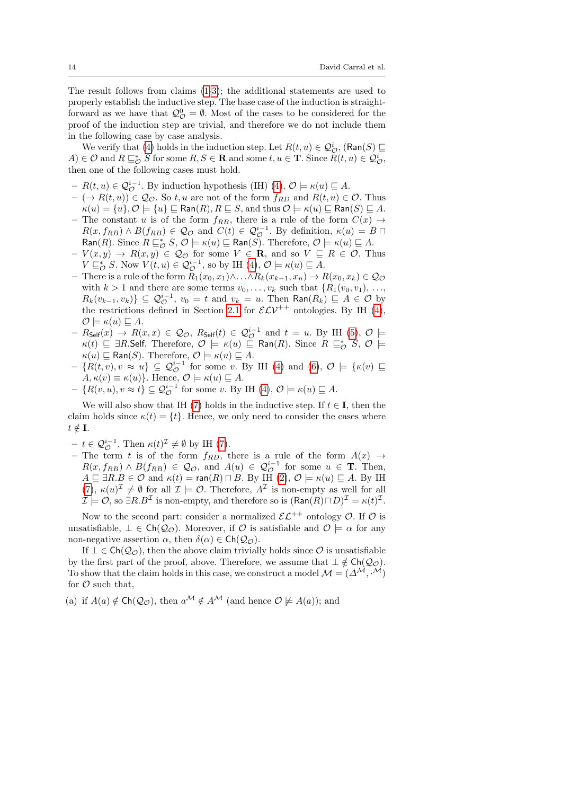The result follows from claims [\(1-](#page-12-2)[3\)](#page-12-3); the additional statements are used to properly establish the inductive step. The base case of the induction is straightforward as we have that  $\mathcal{Q}_{\mathcal{O}}^0 = \emptyset$ . Most of the cases to be considered for the proof of the induction step are trivial, and therefore we do not include them in the following case by case analysis.

We verify that [\(4\)](#page-12-4) holds in the induction step. Let  $R(t, u) \in \mathcal{Q}^i_{\mathcal{O}}$ ,  $(\textsf{Ran}(S) \sqsubseteq$  $(A) \in \mathcal{O}$  and  $R \sqsubseteq_{\mathcal{O}}^* S$  for some  $R, S \in \mathbf{R}$  and some  $t, u \in \mathbf{T}$ . Since  $R(t, u) \in \mathcal{Q}_{\mathcal{O}}^i$ , then one of the following cases must hold.

- $R(t, u) \in \mathcal{Q}_{\mathcal{O}}^{i-1}$ . By induction hypothesis (IH) [\(4\)](#page-12-4),  $\mathcal{O} \models \kappa(u) \sqsubseteq A$ .
- $(- \rightarrow R(t, u)) \in \mathcal{Q}_{\mathcal{O}}$ . So t, u are not of the form  $f_{RD}$  and  $R(t, u) \in \mathcal{O}$ . Thus  $\kappa(u) = \{u\}, \mathcal{O} \models \{u\} \sqsubseteq \textsf{Ran}(R), R \sqsubseteq S, \text{and thus } \mathcal{O} \models \kappa(u) \sqsubseteq \textsf{Ran}(S) \sqsubseteq A.$
- The constant u is of the form  $f_{RB}$ , there is a rule of the form  $C(x) \rightarrow$  $R(x, f_{RB}) \wedge B(f_{RB}) \in \mathcal{Q}_{\mathcal{O}}$  and  $C(t) \in \mathcal{Q}_{\mathcal{O}}^{i-1}$ . By definition,  $\kappa(u) = B \sqcap$  $\textsf{Ran}(R)$ . Since  $R \sqsubseteq_{\mathcal{O}}^* S$ ,  $\mathcal{O} \models \kappa(u) \sqsubseteq \textsf{Ran}(S)$ . Therefore,  $\mathcal{O} \models \kappa(u) \sqsubseteq A$ .
- $-V(x,y) \rightarrow R(x,y) \in \mathcal{Q}_{\mathcal{O}}$  for some  $V \in \mathbf{R}$ , and so  $V \subseteq R \in \mathcal{O}$ . Thus  $V \sqsubseteq_{\mathcal{O}}^* S$ . Now  $V(t, u) \in \mathcal{Q}_{\mathcal{O}}^{i-1}$ , so by IH  $(4)$ ,  $\mathcal{O} \models \kappa(u) \sqsubseteq A$ .
- There is a rule of the form  $R_1(x_0, x_1) \wedge \ldots \wedge R_k(x_{k-1}, x_n) \rightarrow R(x_0, x_k) \in \mathcal{Q}_{\mathcal{O}}$ with  $k > 1$  and there are some terms  $v_0, \ldots, v_k$  such that  $\{R_1(v_0, v_1), \ldots,$  $R_k(v_{k-1}, v_k)$ }  $\subseteq Q_{\mathcal{O}}^{i-1}$ ,  $v_0 = t$  and  $v_k = u$ . Then  $\textsf{Ran}(R_k) \sqsubseteq A \in \mathcal{O}$  by the restrictions defined in Section [2.1](#page-4-1) for  $\mathcal{ELV}^{++}$  ontologies. By IH [\(4\)](#page-12-4),  $\mathcal{O} \models \kappa(u) \sqsubseteq A.$
- $R_{\mathsf{Self}}(x) \rightarrow R(x,x) \in \mathcal{Q}_{\mathcal{O}}, R_{\mathsf{Self}}(t) \in \mathcal{Q}_{\mathcal{O}}^{i-1}$  and  $t = u$ . By IH [\(5\)](#page-12-5),  $\mathcal{O} \models$  $\kappa(t)$   $\sqsubseteq$   $\exists R$ .Self. Therefore,  $\mathcal{O} \models \kappa(u) \sqsubseteq \mathsf{Ran}(R)$ . Since  $R \sqsubseteq_{\mathcal{O}}^* S$ ,  $\mathcal{O} \models$  $\kappa(u) \sqsubseteq \text{Ran}(S)$ . Therefore,  $\mathcal{O} \models \kappa(u) \sqsubseteq A$ .
- $-$  { $R(t, v), v \approx u$ }  $\subseteq Q_{\mathcal{O}}^{i-1}$  for some v. By IH [\(4\)](#page-12-4) and [\(6\)](#page-12-6),  $\mathcal{O} \models {\kappa(v) \sqsubseteq \mathcal{O}}$  $A, \kappa(v) \equiv \kappa(u)$ . Hence,  $\mathcal{O} \models \kappa(u) \sqsubseteq A$ .
- $\{R(v, u), v \approx t\} \subseteq \mathcal{Q}_{\mathcal{O}}^{i-1}$  for some v. By IH [\(4\)](#page-12-4),  $\mathcal{O} \models \kappa(u) \sqsubseteq A$ .

We will also show that IH [\(7\)](#page-12-7) holds in the inductive step. If  $t \in I$ , then the claim holds since  $\kappa(t) = \{t\}$ . Hence, we only need to consider the cases where  $t \notin \mathbf{I}$ .

- $-t \in \mathcal{Q}_{\mathcal{O}}^{i-1}$ . Then  $\kappa(t)^{\mathcal{I}} \neq \emptyset$  by IH [\(7\)](#page-12-7).
- The term t is of the form  $f_{RD}$ , there is a rule of the form  $A(x) \rightarrow$  $R(x, f_{RB}) \wedge B(f_{RB}) \in \mathcal{Q}_{\mathcal{O}}$ , and  $A(u) \in \mathcal{Q}_{\mathcal{O}}^{i-1}$  for some  $u \in \mathbf{T}$ . Then,  $A \sqsubseteq \exists R.B \in \mathcal{O} \text{ and } \kappa(t) = \text{ran}(R) \sqcap B$ . By IH  $(2), \mathcal{O} \models \kappa(u) \sqsubseteq A$  $(2), \mathcal{O} \models \kappa(u) \sqsubseteq A$ . By IH  $(7), \kappa(u)^{\mathcal{I}} \neq \emptyset$  $(7), \kappa(u)^{\mathcal{I}} \neq \emptyset$  for all  $\mathcal{I} \models \mathcal{O}$ . Therefore,  $A^{\mathcal{I}}$  is non-empty as well for all  $\mathcal{I} \models \mathcal{O}$ , so  $\exists R.B^{\mathcal{I}}$  is non-empty, and therefore so is  $(\textsf{Ran}(R) \sqcap D)^{\mathcal{I}} = \kappa(t)^{\mathcal{I}}$ .

Now to the second part: consider a normalized  $\mathcal{EL}^{++}$  ontology  $\mathcal{O}$ . If  $\mathcal{O}$  is unsatisfiable,  $\bot \in \mathsf{Ch}(\mathcal{Q}_{\mathcal{O}})$ . Moreover, if  $\mathcal{O}$  is satisfiable and  $\mathcal{O} \models \alpha$  for any non-negative assertion  $\alpha$ , then  $\delta(\alpha) \in \mathsf{Ch}(\mathcal{Q}_{\mathcal{O}})$ .

If  $\perp \in \mathsf{Ch}(\mathcal{Q}_{\mathcal{O}})$ , then the above claim trivially holds since  $\mathcal{O}$  is unsatisfiable by the first part of the proof, above. Therefore, we assume that  $\perp \notin \mathsf{Ch}(\mathcal{Q}_{\mathcal{O}}).$ To show that the claim holds in this case, we construct a model  $\mathcal{M} = (\Delta^{\mathcal{M}}, \mathcal{M})$ for  $\mathcal O$  such that,

(a) if  $A(a) \notin \text{Ch}(\mathcal{Q}_{\mathcal{O}})$ , then  $a^{\mathcal{M}} \notin A^{\mathcal{M}}$  (and hence  $\mathcal{O} \not\models A(a)$ ); and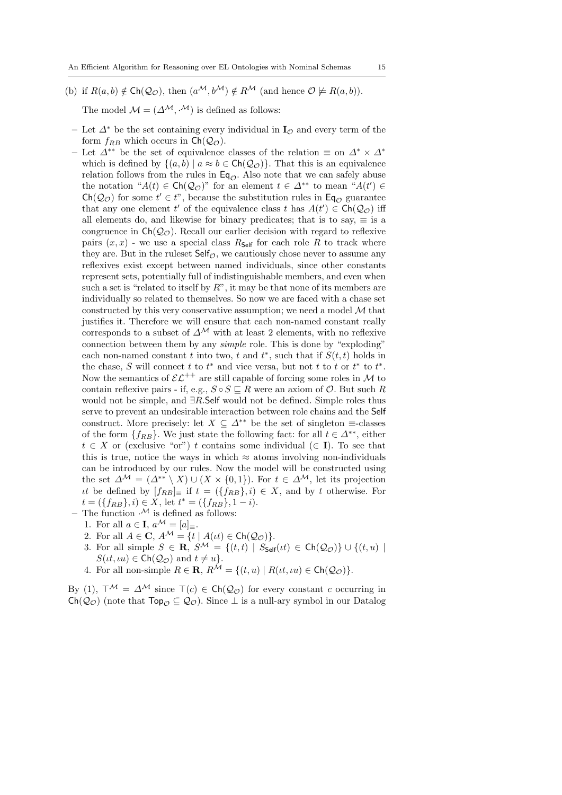(b) if  $R(a, b) \notin \text{Ch}(\mathcal{Q}_{\mathcal{O}})$ , then  $(a^{\mathcal{M}}, b^{\mathcal{M}}) \notin R^{\mathcal{M}}$  (and hence  $\mathcal{O} \not\models R(a, b)$ ).

The model  $\mathcal{M} = (\Delta^{\mathcal{M}}, \cdot^{\mathcal{M}})$  is defined as follows:

- Let  $\Delta^*$  be the set containing every individual in  $\mathbf{I}_{\mathcal{O}}$  and every term of the form  $f_{RB}$  which occurs in  $Ch(Q_{\mathcal{O}})$ .
- Let  $\Delta^{**}$  be the set of equivalence classes of the relation  $\equiv$  on  $\Delta^* \times \Delta^*$ which is defined by  $\{(a, b) | a \approx b \in \text{Ch}(\mathcal{Q}_{\mathcal{O}})\}\.$  That this is an equivalence relation follows from the rules in  $\mathsf{Eq}_{\mathcal{O}}$ . Also note that we can safely abuse the notation " $A(t) \in \mathsf{Ch}(\mathcal{Q}_{\mathcal{O}})$ " for an element  $t \in \Delta^{**}$  to mean " $A(t') \in$  $\mathsf{Ch}(\mathcal{Q}_{\mathcal{O}})$  for some  $t' \in t$ ", because the substitution rules in  $\mathsf{Eq}_{\mathcal{O}}$  guarantee that any one element  $t'$  of the equivalence class  $t$  has  $A(t') \in \mathsf{Ch}(\mathcal{Q}_{\mathcal{O}})$  iff all elements do, and likewise for binary predicates; that is to say,  $\equiv$  is a congruence in  $\mathsf{Ch}(\mathcal{Q}_{\mathcal{O}})$ . Recall our earlier decision with regard to reflexive pairs  $(x, x)$  - we use a special class  $R_{\mathsf{Self}}$  for each role R to track where they are. But in the rules of  $\mathsf{Self}_\mathcal{O}$ , we cautiously chose never to assume any reflexives exist except between named individuals, since other constants represent sets, potentially full of indistinguishable members, and even when such a set is "related to itself by  $R$ ", it may be that none of its members are individually so related to themselves. So now we are faced with a chase set constructed by this very conservative assumption; we need a model  $M$  that justifies it. Therefore we will ensure that each non-named constant really corresponds to a subset of  $\Delta^{\mathcal{M}}$  with at least 2 elements, with no reflexive connection between them by any simple role. This is done by "exploding" each non-named constant t into two, t and  $t^*$ , such that if  $S(t, t)$  holds in the chase, S will connect t to  $t^*$  and vice versa, but not t to t or  $t^*$  to  $t^*$ . Now the semantics of  $\mathcal{EL}^{++}$  are still capable of forcing some roles in M to contain reflexive pairs - if, e.g.,  $S \circ S \sqsubseteq R$  were an axiom of  $\mathcal{O}$ . But such R would not be simple, and ∃R.Self would not be defined. Simple roles thus serve to prevent an undesirable interaction between role chains and the Self construct. More precisely: let  $X \subseteq \Delta^{**}$  be the set of singleton  $\equiv$ -classes of the form  $\{f_{RB}\}\$ . We just state the following fact: for all  $t \in \Delta^{**}$ , either  $t \in X$  or (exclusive "or") t contains some individual ( $\in I$ ). To see that this is true, notice the ways in which  $\approx$  atoms involving non-individuals can be introduced by our rules. Now the model will be constructed using the set  $\Delta^{\mathcal{M}} = (\Delta^{**} \setminus X) \cup (X \times \{0,1\})$ . For  $t \in \Delta^{\mathcal{M}}$ , let its projection *it* be defined by  $[f_{RB}]_{\equiv}$  if  $t = (\{f_{RB}\}, i) \in X$ , and by t otherwise. For  $t = (\{f_{RB}\}, i) \in X$ , let  $t^* = (\{f_{RB}\}, 1 - i)$ .
	- The function  $\mathcal{M}$  is defined as follows:
	- 1. For all  $a \in \mathbf{I}$ ,  $a^{\mathcal{M}} = [a]_{\equiv}$ .
	- 2. For all  $A \in \mathbf{C}$ ,  $A^{\mathcal{M}} = \{t \mid A(\iota t) \in \mathsf{Ch}(\mathcal{Q}_{\mathcal{O}})\}.$
	- 3. For all simple  $S \in \mathbf{R}$ ,  $S^{\mathcal{M}} = \{(t,t) | S_{\mathsf{Self}}(ut) \in \mathsf{Ch}(\mathcal{Q}_{\mathcal{O}})\} \cup \{(t,u) |$  $S(\iota t, \iota u) \in \mathsf{Ch}(\mathcal{Q}_{\mathcal{O}})$  and  $t \neq u$ .
	- 4. For all non-simple  $R \in \mathbf{R}$ ,  $R^{\mathcal{M}} = \{(t, u) \mid R(\iota t, \iota u) \in \mathsf{Ch}(\mathcal{Q}_{\mathcal{O}})\}.$

By (1),  $\top^{\mathcal{M}} = \Delta^{\mathcal{M}}$  since  $\top(c) \in \mathsf{Ch}(\mathcal{Q}_{\mathcal{O}})$  for every constant c occurring in  $Ch(Q_{\mathcal{O}})$  (note that  $Top_{\mathcal{O}} \subseteq Q_{\mathcal{O}}$ ). Since  $\perp$  is a null-ary symbol in our Datalog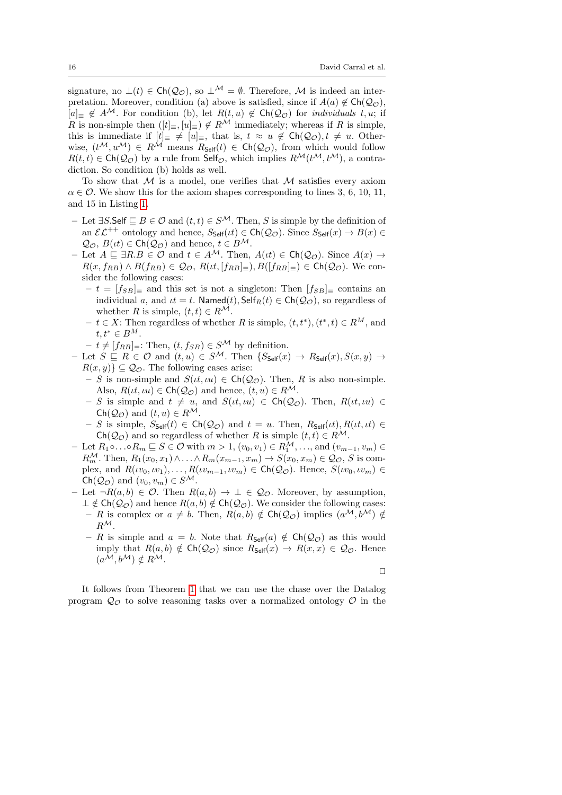signature, no  $\bot(t) \in \mathsf{Ch}(\mathcal{Q}_{\mathcal{O}})$ , so  $\bot^{\mathcal{M}} = \emptyset$ . Therefore, M is indeed an interpretation. Moreover, condition (a) above is satisfied, since if  $A(a) \notin \text{Ch}(\mathcal{Q}_{\mathcal{O}})$ ,  $[a]_\equiv \notin A^{\mathcal{M}}$ . For condition (b), let  $R(t, u) \notin \mathsf{Ch}(\mathcal{Q}_{\mathcal{O}})$  for *individuals t, u*; if R is non-simple then  $([t]_{\equiv}, [u]_{\equiv}) \notin R^{\mathcal{M}}$  immediately; whereas if R is simple, this is immediate if  $[t]_\equiv \neq [u]_\equiv$ , that is,  $t \approx u \notin \mathsf{Ch}(\mathcal{Q}_{\mathcal{O}}), t \neq u$ . Otherwise,  $(t^{\mathcal{M}}, u^{\mathcal{M}}) \in R^{\mathcal{M}}$  means  $R_{\mathsf{Self}}(t) \in \mathsf{Ch}(\mathcal{Q}_{\mathcal{O}})$ , from which would follow  $R(t, t) \in \mathsf{Ch}(\mathcal{Q}_{\mathcal{O}})$  by a rule from  $\mathsf{Self}_{\mathcal{O}}$ , which implies  $R^{\mathcal{M}}(t^{\mathcal{M}}, t^{\mathcal{M}})$ , a contradiction. So condition (b) holds as well.

To show that  $M$  is a model, one verifies that  $M$  satisfies every axiom  $\alpha \in \mathcal{O}$ . We show this for the axiom shapes corresponding to lines 3, 6, 10, 11, and 15 in Listing [1.](#page-10-0)

- Let  $\exists S$ .Self  $\sqsubseteq B$  ∈  $\mathcal O$  and  $(t, t) \in S^{\mathcal M}$ . Then, S is simple by the definition of an  $\mathcal{EL}^{++}$  ontology and hence,  $S_{\text{Self}}(t) \in \text{Ch}(\mathcal{Q}_{\mathcal{O}})$ . Since  $S_{\text{Self}}(x) \to B(x) \in$  $\mathcal{Q}_{\mathcal{O}}, B(\iota t) \in \mathsf{Ch}(\mathcal{Q}_{\mathcal{O}})$  and hence,  $t \in B^{\mathcal{M}}$ .
- Let  $A \subseteq \exists R.B \in \mathcal{O}$  and  $t \in A^{\mathcal{M}}$ . Then,  $A(\iota t) \in \mathsf{Ch}(\mathcal{Q}_{\mathcal{O}})$ . Since  $A(x) \to$  $R(x, f_{RB}) \wedge B(f_{RB}) \in \mathcal{Q}_{\mathcal{O}}, R(\iota t, [f_{RB}]_{\equiv}), B([f_{RB}]_{\equiv}) \in \mathsf{Ch}(\mathcal{Q}_{\mathcal{O}}).$  We consider the following cases:
	- $t = [f_{SB}]_{\equiv}$  and this set is not a singleton: Then  $[f_{SB}]_{\equiv}$  contains an individual a, and  $t = t$ . Named $(t)$ , Self $_R(t) \in \text{Ch}(\mathcal{Q}_{\mathcal{O}})$ , so regardless of whether R is simple,  $(t, t) \in R^{\mathcal{M}}$ .
	- $-t \in X$ : Then regardless of whether R is simple,  $(t, t^*), (t^*, t) \in R^M$ , and  $t, t^* \in B^M$ .
	- $-t \neq [f_{RB}] \equiv$ : Then,  $(t, f_{SB}) \in S^{\mathcal{M}}$  by definition.
- Let  $S \subseteq R \in \mathcal{O}$  and  $(t, u) \in S^{\mathcal{M}}$ . Then  $\{S_{\mathsf{Self}}(x) \to R_{\mathsf{Self}}(x), S(x, y) \to S^{\mathcal{M}}\}$  $R(x, y) \subseteq Q_{\mathcal{O}}$ . The following cases arise:
	- S is non-simple and  $S(t, \mu u) \in \mathsf{Ch}(\mathcal{Q}_{\mathcal{O}})$ . Then, R is also non-simple. Also,  $R(\iota t, \iota u) \in \mathsf{Ch}(\mathcal{Q}_{\mathcal{O}})$  and hence,  $(t, u) \in R^{\mathcal{M}}$ .
	- S is simple and  $t \neq u$ , and  $S(t, \iota u) \in \mathsf{Ch}(\mathcal{Q}_{\mathcal{O}})$ . Then,  $R(t, \iota u) \in$  $\mathsf{Ch}(\mathcal{Q}_{\mathcal{O}})$  and  $(t, u) \in R^{\mathcal{M}}$ .
	- S is simple,  $S_{\text{Self}}(t) \in \text{Ch}(\mathcal{Q}_{\mathcal{O}})$  and  $t = u$ . Then,  $R_{\text{Self}}(t), R(t, t) \in$  $Ch(Q_{\mathcal{O}})$  and so regardless of whether R is simple  $(t, t) \in R^{\mathcal{M}}$ .
- Let  $R_1 \circ \ldots \circ R_m \sqsubseteq S \in \mathcal{O}$  with  $m > 1$ ,  $(v_0, v_1) \in R_1^{\mathcal{M}}, \ldots$ , and  $(v_{m-1}, v_m) \in$  $R_m^{\mathcal{M}}$ . Then,  $R_1(x_0, x_1) \wedge \ldots \wedge R_m(x_{m-1}, x_m) \rightarrow S(x_0, x_m) \in \mathcal{Q}_{\mathcal{O}}, S$  is complex, and  $R(\nu_0, \nu_1), \ldots, R(\nu_{m-1}, \nu_m) \in \mathsf{Ch}(\mathcal{Q}_{\mathcal{O}}).$  Hence,  $S(\nu_0, \nu_m) \in$  $\mathsf{Ch}(\mathcal{Q}_{\mathcal{O}})$  and  $(v_0, v_m) \in S^{\mathcal{M}}$ .
- Let  $\neg R(a, b) \in \mathcal{O}$ . Then  $R(a, b) \rightarrow \bot \in \mathcal{Q}_{\mathcal{O}}$ . Moreover, by assumption,  $\perp \notin \mathsf{Ch}(\mathcal{Q}_{\mathcal{O}})$  and hence  $R(a, b) \notin \mathsf{Ch}(\mathcal{Q}_{\mathcal{O}})$ . We consider the following cases: – R is complex or  $a \neq b$ . Then,  $R(a, b) \notin \text{Ch}(\mathcal{Q}_{\mathcal{O}})$  implies  $(a^{\mathcal{M}}, b^{\mathcal{M}}) \notin$  $R^{\mathcal{M}}$ .
	- R is simple and  $a = b$ . Note that  $R_{\text{Self}}(a) \notin \text{Ch}(\mathcal{Q}_{\mathcal{O}})$  as this would imply that  $R(a, b) \notin \mathsf{Ch}(\mathcal{Q}_{\mathcal{O}})$  since  $R_{\mathsf{Self}}(x) \to R(x, x) \in \mathcal{Q}_{\mathcal{O}}$ . Hence  $(a^{\mathcal{M}}, b^{\mathcal{M}}) \notin R^{\mathcal{M}}$ .

⊓⊔

It follows from Theorem [1](#page-12-0) that we can use the chase over the Datalog program  $\mathcal{Q}_{\mathcal{O}}$  to solve reasoning tasks over a normalized ontology  $\mathcal O$  in the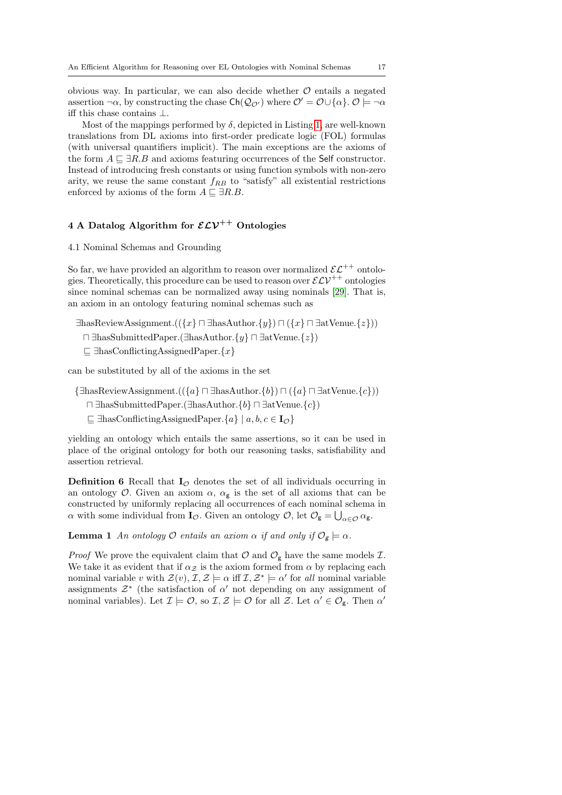obvious way. In particular, we can also decide whether  $\mathcal O$  entails a negated assertion  $\neg \alpha$ , by constructing the chase  $\mathsf{Ch}(\mathcal{Q}_{\mathcal{O}'})$  where  $\mathcal{O}' = \mathcal{O} \cup \{\alpha\}$ .  $\mathcal{O} \models \neg \alpha$ iff this chase contains ⊥.

Most of the mappings performed by  $\delta$ , depicted in Listing [1,](#page-10-0) are well-known translations from DL axioms into first-order predicate logic (FOL) formulas (with universal quantifiers implicit). The main exceptions are the axioms of the form  $A \sqsubseteq \exists R.B$  and axioms featuring occurrences of the Self constructor. Instead of introducing fresh constants or using function symbols with non-zero arity, we reuse the same constant  $f_{RB}$  to "satisfy" all existential restrictions enforced by axioms of the form  $A \sqsubseteq \exists R.B.$ 

# <span id="page-16-0"></span>4 A Datalog Algorithm for  $\mathcal{ELV}^{++}$  Ontologies

## <span id="page-16-1"></span>4.1 Nominal Schemas and Grounding

So far, we have provided an algorithm to reason over normalized  $\mathcal{EL}^{++}$  ontologies. Theoretically, this procedure can be used to reason over  $\mathcal{ELV}^{++}$  ontologies since nominal schemas can be normalized away using nominals [\[29\]](#page-29-0). That is, an axiom in an ontology featuring nominal schemas such as

∃hasReviewAssignment.(({x} ⊓ ∃hasAuthor.{y}) ⊓ ({x} ⊓ ∃atVenue.{z}))

- ⊓ ∃hasSubmittedPaper.(∃hasAuthor.{y} ⊓ ∃atVenue.{z})
- $\subseteq$  ∃hasConflictingAssignedPaper. $\{x\}$

can be substituted by all of the axioms in the set

 $\{\exists \text{hasReviewAssignment.}((\{a\} \sqcap \exists \text{hasAuthor.}\{b\}) \sqcap (\{a\} \sqcap \exists \text{atVenue.}\{c\}))$ 

- ⊓ ∃hasSubmittedPaper.(∃hasAuthor.{b} ⊓ ∃atVenue.{c})
- $\Box$   $\exists$ hasConflictingAssignedPaper. $\{a\} \mid a, b, c \in I_{\mathcal{O}}\}$

yielding an ontology which entails the same assertions, so it can be used in place of the original ontology for both our reasoning tasks, satisfiability and assertion retrieval.

<span id="page-16-3"></span>**Definition 6** Recall that  $I_{\mathcal{O}}$  denotes the set of all individuals occurring in an ontology  $\mathcal{O}$ . Given an axiom  $\alpha$ ,  $\alpha_{\mathsf{g}}$  is the set of all axioms that can be constructed by uniformly replacing all occurrences of each nominal schema in  $\alpha$  with some individual from  $\mathbf{I}_{\mathcal{O}}$ . Given an ontology  $\mathcal{O}$ , let  $\mathcal{O}_{g} = \bigcup_{\alpha \in \mathcal{O}} \alpha_{g}$ .

<span id="page-16-2"></span>**Lemma 1** An ontology  $O$  entails an axiom  $\alpha$  if and only if  $O_g \models \alpha$ .

*Proof* We prove the equivalent claim that  $\mathcal{O}$  and  $\mathcal{O}_g$  have the same models  $\mathcal{I}$ . We take it as evident that if  $\alpha$ <sub>Z</sub> is the axiom formed from  $\alpha$  by replacing each nominal variable v with  $\mathcal{Z}(v)$ ,  $\mathcal{I}, \mathcal{Z} \models \alpha$  iff  $\mathcal{I}, \mathcal{Z}^* \models \alpha'$  for all nominal variable assignments  $\mathcal{Z}^*$  (the satisfaction of  $\alpha'$  not depending on any assignment of nominal variables). Let  $\mathcal{I} \models \mathcal{O}$ , so  $\mathcal{I}, \mathcal{Z} \models \mathcal{O}$  for all  $\mathcal{Z}$ . Let  $\alpha' \in \mathcal{O}_{g}$ . Then  $\alpha'$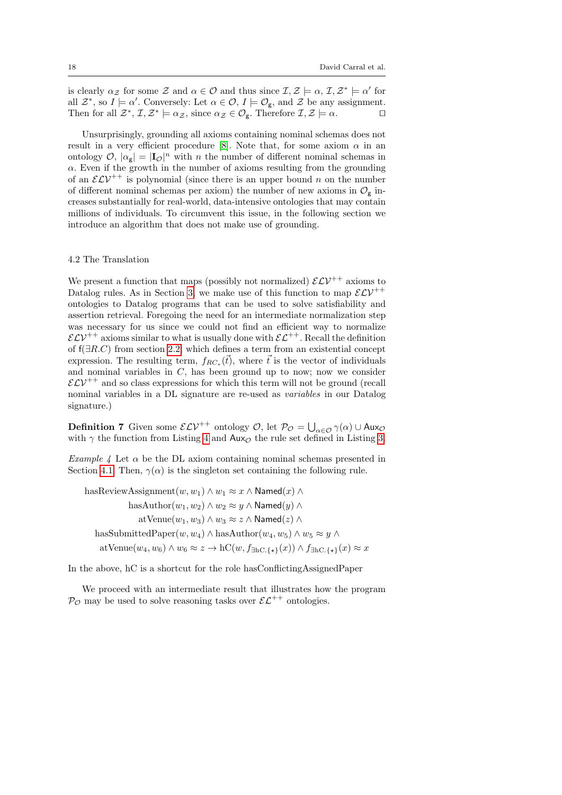is clearly  $\alpha_{\mathcal{Z}}$  for some  $\mathcal{Z}$  and  $\alpha \in \mathcal{O}$  and thus since  $\mathcal{I}, \mathcal{Z} \models \alpha, \mathcal{I}, \mathcal{Z}^* \models \alpha'$  for all  $\mathcal{Z}^*$ , so  $I \models \alpha'$ . Conversely: Let  $\alpha \in \mathcal{O}$ ,  $I \models \mathcal{O}_{g}$ , and  $\mathcal{Z}$  be any assignment. Then for all  $\mathcal{Z}^*, \mathcal{I}, \mathcal{Z}^* \models \alpha_{\mathcal{Z}},$  since  $\alpha_{\mathcal{Z}} \in \mathcal{O}_{\mathsf{g}}$ . Therefore  $\mathcal{I}, \mathcal{Z} \models \alpha$ .

Unsurprisingly, grounding all axioms containing nominal schemas does not result in a very efficient procedure [\[8\]](#page-28-5). Note that, for some axiom  $\alpha$  in an ontology  $\mathcal{O}, |\alpha_{\rm g}| = |I_{\mathcal{O}}|^n$  with n the number of different nominal schemas in  $\alpha$ . Even if the growth in the number of axioms resulting from the grounding of an  $\mathcal{ELV}^{++}$  is polynomial (since there is an upper bound n on the number of different nominal schemas per axiom) the number of new axioms in  $\mathcal{O}_g$  increases substantially for real-world, data-intensive ontologies that may contain millions of individuals. To circumvent this issue, in the following section we introduce an algorithm that does not make use of grounding.

### <span id="page-17-0"></span>4.2 The Translation

We present a function that maps (possibly not normalized)  $\mathcal{ELV}^{++}$  axioms to Datalog rules. As in Section [3,](#page-9-0) we make use of this function to map  $\mathcal{ELV}^{++}$ ontologies to Datalog programs that can be used to solve satisfiability and assertion retrieval. Foregoing the need for an intermediate normalization step was necessary for us since we could not find an efficient way to normalize  $\mathcal{ELV}^{++}$  axioms similar to what is usually done with  $\mathcal{EL}^{++}$ . Recall the definition of f(∃R.C) from section [2.2,](#page-7-0) which defines a term from an existential concept expression. The resulting term,  $f_{RC_*}(\vec{t})$ , where  $\vec{t}$  is the vector of individuals and nominal variables in  $C$ , has been ground up to now; now we consider  $\mathcal{ELV}^{++}$  and so class expressions for which this term will not be ground (recall nominal variables in a DL signature are re-used as variables in our Datalog signature.)

<span id="page-17-2"></span>**Definition 7** Given some  $\mathcal{ELV}^{++}$  ontology  $\mathcal{O}$ , let  $\mathcal{P_O} = \bigcup_{\alpha \in \mathcal{O}} \gamma(\alpha) \cup \text{Aux}_{\mathcal{O}}$ with  $\gamma$  the function from Listing [4](#page-18-0) and Aux<sub>O</sub> the rule set defined in Listing [3.](#page-12-1)

Example 4 Let  $\alpha$  be the DL axiom containing nominal schemas presented in Section [4.1.](#page-16-1) Then,  $\gamma(\alpha)$  is the singleton set containing the following rule.

hasReviewAssignment $(w, w_1) \wedge w_1 \approx x \wedge \mathsf{Named}(x) \wedge$ has $\text{Author}(w_1, w_2) \wedge w_2 \approx y \wedge \text{Named}(y) \wedge$ atVenue $(w_1, w_3) \wedge w_3 \approx z \wedge$ Named $(z) \wedge$ hasSubmittedPaper $(w, w_4) \wedge$ hasAuthor $(w_4, w_5) \wedge w_5 \approx y \wedge$ atVenue $(w_4, w_6) \wedge w_6 \approx z \rightarrow \mathrm{hC}(w, f_{\exists h \in \{ \star \}}(x)) \wedge f_{\exists h \in \{ \star \}}(x) \approx x$ 

In the above, hC is a shortcut for the role hasConflictingAssignedPaper

<span id="page-17-1"></span>We proceed with an intermediate result that illustrates how the program  $\mathcal{P}_{\mathcal{O}}$  may be used to solve reasoning tasks over  $\mathcal{E} \mathcal{L}^{++}$  ontologies.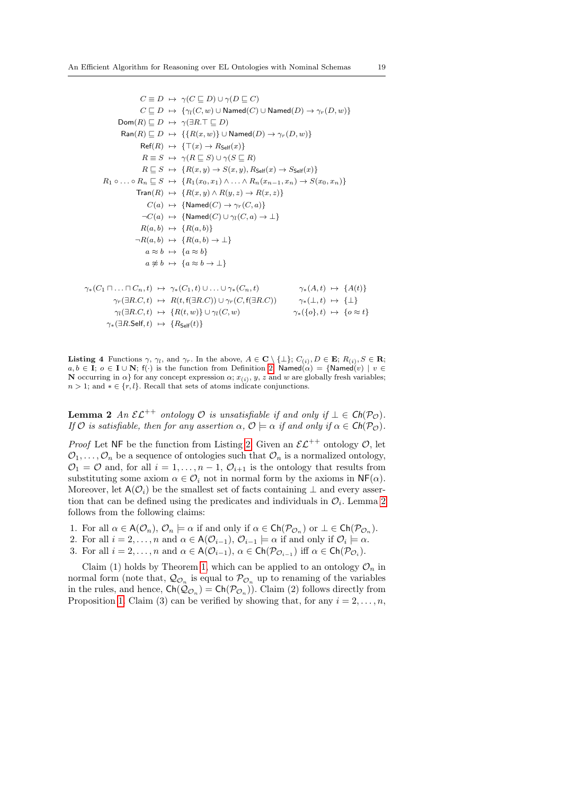$$
C \equiv D \rightarrow \gamma(C \sqsubseteq D) \cup \gamma(D \sqsubseteq C)
$$
  
\n
$$
C \sqsubseteq D \rightarrow \{\gamma_l(C, w) \cup \text{Named}(C) \cup \text{Named}(D) \rightarrow \gamma_r(D, w)\}
$$
  
\nDom(R)  $\sqsubseteq D \rightarrow \gamma(\exists R.\top \sqsubseteq D)$   
\n
$$
Ran(R) \sqsubseteq D \rightarrow \{\{R(x, w)\} \cup \text{Named}(D) \rightarrow \gamma_r(D, w)\}
$$
  
\n
$$
Ref(R) \rightarrow \{\top(x) \rightarrow R_{\text{Self}}(x)\}
$$
  
\n
$$
R \equiv S \rightarrow \gamma(R \sqsubseteq S) \cup \gamma(S \sqsubseteq R)
$$
  
\n
$$
R \sqsubseteq S \rightarrow \{R(x, y) \rightarrow S(x, y), R_{\text{Self}}(x) \rightarrow S_{\text{Self}}(x)\}
$$
  
\n
$$
R_1 \circ \dots \circ R_n \sqsubseteq S \rightarrow \{R_1(x_0, x_1) \land \dots \land R_n(x_{n-1}, x_n) \rightarrow S(x_0, x_n)\}
$$
  
\n
$$
Tran(R) \rightarrow \{R(x, y) \land R(y, z) \rightarrow R(x, z)\}
$$
  
\n
$$
C(a) \rightarrow \{\text{Named}(C) \rightarrow \gamma_r(C, a)\}
$$
  
\n
$$
\neg C(a) \rightarrow \{\text{Named}(C) \cup \gamma_l(C, a) \rightarrow \bot\}
$$
  
\n
$$
R(a, b) \rightarrow \{R(a, b)\}
$$
  
\n
$$
\neg R(a, b) \rightarrow \{R(a, b) \rightarrow \bot\}
$$
  
\n
$$
a \approx b \rightarrow \{a \approx b\}
$$
  
\n
$$
a \not\approx b \rightarrow \{a \approx b \rightarrow \bot\}
$$
  
\n
$$
\gamma_*(C_1 \sqcap \dots \sqcap C_n, t) \rightarrow \gamma_*(C_1, t) \cup \dots \cup \gamma_*(C_n, t) \qquad \gamma_*(A, t) \rightarrow \{A(t)\}
$$
  
\n
$$
\gamma_r(\exists R.C, t) \rightarrow R(t, f(\exists R.C)) \cup \gamma_r(C, f(\exists R.C)) \qquad \gamma_*(A, t) \rightarrow \{A(t)\}
$$
  
\n
$$
\gamma_r(\exists R.C, t) \rightarrow \{R(t, w)\} \cup \gamma_l(C, w)
$$

<span id="page-18-0"></span>**Listing 4** Functions  $\gamma$ ,  $\gamma_l$ , and  $\gamma_r$ . In the above,  $A \in \mathbf{C} \setminus \{\perp\}$ ;  $C_{(i)}$ ,  $D \in \mathbf{E}$ ;  $R_{(i)}$ ,  $S \in \mathbf{R}$ ;  $a, b \in I$ ;  $o \in I \cup N$ ; f(·) is the function from Definition [2;](#page-8-2) Named $(\alpha) = {\text{Named}}(v) \mid v \in$ **N** occurring in  $\alpha$ } for any concept expression  $\alpha$ ;  $x_{(i)}$ ,  $y$ ,  $z$  and  $w$  are globally fresh variables;  $n > 1$ ; and  $* \in \{r, l\}$ . Recall that sets of atoms indicate conjunctions.

**Lemma 2** An  $\mathcal{EL}^{++}$  ontology  $\mathcal O$  is unsatisfiable if and only if  $\bot \in \mathsf{Ch}(\mathcal P_{\mathcal O})$ . If O is satisfiable, then for any assertion  $\alpha$ ,  $\mathcal{O} \models \alpha$  if and only if  $\alpha \in \mathsf{Ch}(\mathcal{P}_{\mathcal{O}})$ .

*Proof* Let NF be the function from Listing [2.](#page-11-0) Given an  $\mathcal{EL}^{++}$  ontology  $\mathcal{O}$ , let  $\mathcal{O}_1, \ldots, \mathcal{O}_n$  be a sequence of ontologies such that  $\mathcal{O}_n$  is a normalized ontology,  $\mathcal{O}_1 = \mathcal{O}$  and, for all  $i = 1, \ldots, n - 1, \mathcal{O}_{i+1}$  is the ontology that results from substituting some axiom  $\alpha \in \mathcal{O}_i$  not in normal form by the axioms in  $\mathsf{NF}(\alpha)$ . Moreover, let  $A(\mathcal{O}_i)$  be the smallest set of facts containing  $\perp$  and every assertion that can be defined using the predicates and individuals in  $\mathcal{O}_i$ . Lemma [2](#page-17-1) follows from the following claims:

- 1. For all  $\alpha \in A(\mathcal{O}_n)$ ,  $\mathcal{O}_n \models \alpha$  if and only if  $\alpha \in \mathsf{Ch}(\mathcal{P}_{\mathcal{O}_n})$  or  $\bot \in \mathsf{Ch}(\mathcal{P}_{\mathcal{O}_n})$ .
- 2. For all  $i = 2, \ldots, n$  and  $\alpha \in A(\mathcal{O}_{i-1}), \mathcal{O}_{i-1} \models \alpha$  if and only if  $\mathcal{O}_i \models \alpha$ .
- 3. For all  $i = 2, ..., n$  and  $\alpha \in A(\mathcal{O}_{i-1}), \alpha \in \mathsf{Ch}(\mathcal{P}_{\mathcal{O}_{i-1}})$  iff  $\alpha \in \mathsf{Ch}(\mathcal{P}_{\mathcal{O}_i})$ .

Claim (1) holds by Theorem [1,](#page-12-0) which can be applied to an ontology  $\mathcal{O}_n$  in normal form (note that,  $\mathcal{Q}_{\mathcal{O}_n}$  is equal to  $\mathcal{P}_{\mathcal{O}_n}$  up to renaming of the variables in the rules, and hence,  $\mathsf{Ch}(\mathcal{Q}_{\mathcal{O}_n}) = \mathsf{Ch}(\mathcal{P}_{\mathcal{O}_n})$ . Claim (2) follows directly from Proposition [1.](#page-12-0) Claim (3) can be verified by showing that, for any  $i = 2, \ldots, n$ ,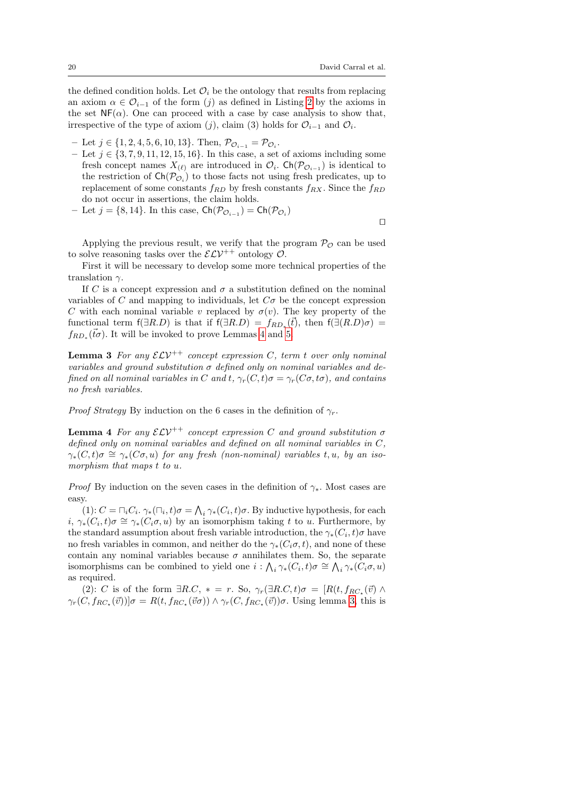the defined condition holds. Let  $\mathcal{O}_i$  be the ontology that results from replacing an axiom  $\alpha \in \mathcal{O}_{i-1}$  of the form (j) as defined in Listing [2](#page-11-0) by the axioms in the set  $NF(\alpha)$ . One can proceed with a case by case analysis to show that, irrespective of the type of axiom (j), claim (3) holds for  $\mathcal{O}_{i-1}$  and  $\mathcal{O}_i$ .

- Let  $j \in \{1, 2, 4, 5, 6, 10, 13\}$ . Then,  $\mathcal{P}_{\mathcal{O}_{i-1}} = \mathcal{P}_{\mathcal{O}_i}$ .
- Let  $j \in \{3, 7, 9, 11, 12, 15, 16\}$ . In this case, a set of axioms including some fresh concept names  $X_{(\ell)}$  are introduced in  $\mathcal{O}_i$ . Ch( $\mathcal{P}_{\mathcal{O}_{i-1}}$ ) is identical to the restriction of  $\mathsf{Ch}(\mathcal{P}_{\mathcal{O}_i})$  to those facts not using fresh predicates, up to replacement of some constants  $f_{RD}$  by fresh constants  $f_{RX}$ . Since the  $f_{RD}$ do not occur in assertions, the claim holds.
- Let  $j = \{8, 14\}$ . In this case,  $\mathsf{Ch}(\mathcal{P}_{\mathcal{O}_{i-1}}) = \mathsf{Ch}(\mathcal{P}_{\mathcal{O}_i})$

⊓⊔

Applying the previous result, we verify that the program  $\mathcal{P}_{\mathcal{O}}$  can be used to solve reasoning tasks over the  $\mathcal{ELV}^{++}$  ontology  $\mathcal{O}$ .

First it will be necessary to develop some more technical properties of the translation  $\gamma$ .

If C is a concept expression and  $\sigma$  a substitution defined on the nominal variables of C and mapping to individuals, let  $C\sigma$  be the concept expression C with each nominal variable v replaced by  $\sigma(v)$ . The key property of the functional term  $f(\exists R.D)$  is that if  $f(\exists R.D) = f_{RD_*}(\vec{t})$ , then  $f(\exists (R.D)\sigma) =$  $f_{RD_*}(\vec{t}\sigma)$ . It will be invoked to prove Lemmas [4](#page-19-0) and [5.](#page-20-0)

<span id="page-19-1"></span>**Lemma 3** For any  $\mathcal{ELV}^{++}$  concept expression C, term t over only nominal variables and ground substitution  $\sigma$  defined only on nominal variables and defined on all nominal variables in C and t,  $\gamma_r(C, t) \sigma = \gamma_r(C \sigma, t \sigma)$ , and contains no fresh variables.

<span id="page-19-0"></span>*Proof Strategy* By induction on the 6 cases in the definition of  $\gamma_r$ .

**Lemma 4** For any  $\mathcal{ELV}^{++}$  concept expression C and ground substitution  $\sigma$ defined only on nominal variables and defined on all nominal variables in C,  $\gamma_*(C, t)\sigma \cong \gamma_*(C\sigma, u)$  for any fresh (non-nominal) variables t, u, by an isomorphism that maps t to u.

*Proof* By induction on the seven cases in the definition of  $\gamma_*$ . Most cases are easy.

(1):  $C = \bigcap_i C_i$ ,  $\gamma_*(\bigcap_i, t)\sigma = \bigwedge_i \gamma_*(C_i, t)\sigma$ . By inductive hypothesis, for each  $i, \gamma_*(C_i, t)\sigma \cong \gamma_*(C_i\sigma, u)$  by an isomorphism taking t to u. Furthermore, by the standard assumption about fresh variable introduction, the  $\gamma_*(C_i, t) \sigma$  have no fresh variables in common, and neither do the  $\gamma_*(C_i \sigma, t)$ , and none of these contain any nominal variables because  $\sigma$  annihilates them. So, the separate isomorphisms can be combined to yield one  $i$  :  $\bigwedge_i \gamma_*(C_i, t)\sigma \cong \bigwedge_i \gamma_*(\tilde{C}_i\sigma, u)$ as required.

(2): C is of the form  $\exists R.C, * = r$ . So,  $\gamma_r(\exists R.C, t)\sigma = [R(t, f_{RC*}(\vec{v}) \wedge$  $\gamma_r(C, f_{RC_\star}(\vec{v}))|\sigma = R(t, f_{RC_\star}(\vec{v}\sigma)) \wedge \gamma_r(C, f_{RC_\star}(\vec{v}))\sigma$ . Using lemma [3,](#page-19-1) this is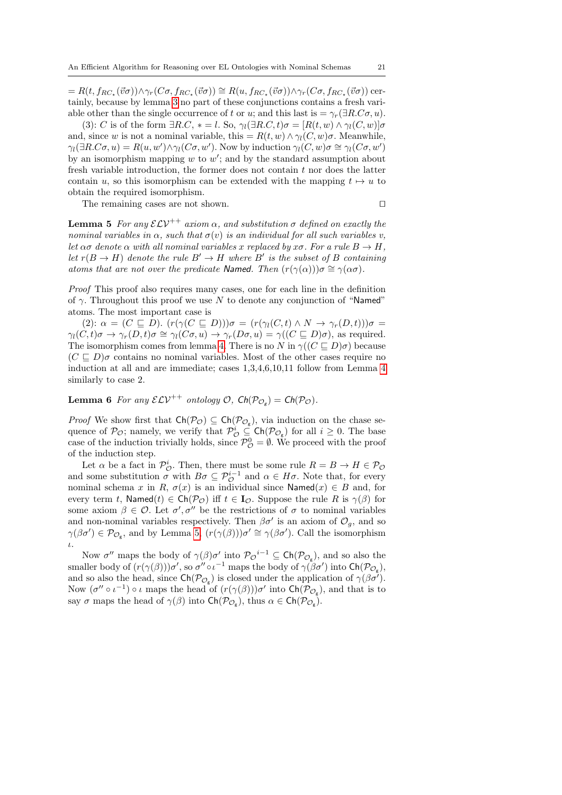$= R(t, f_{RC_{\star}}(\vec{v}\sigma)) \wedge \gamma_r(C\sigma, f_{RC_{\star}}(\vec{v}\sigma)) \cong R(u, f_{RC_{\star}}(\vec{v}\sigma)) \wedge \gamma_r(C\sigma, f_{RC_{\star}}(\vec{v}\sigma))$  certainly, because by lemma [3](#page-19-1) no part of these conjunctions contains a fresh variable other than the single occurrence of t or u; and this last is  $=\gamma_r(\exists R.C\sigma, u)$ .

(3): C is of the form  $\exists R.C, * = l$ . So,  $\gamma_l(\exists R.C, t)\sigma = [R(t, w) \wedge \gamma_l(C, w)]\sigma$ and, since w is not a nominal variable, this =  $R(t, w) \wedge \gamma_l(C, w) \sigma$ . Meanwhile,  $\gamma_l(\exists R.C\sigma, u) = R(u, w') \wedge \gamma_l(C\sigma, w')$ . Now by induction  $\gamma_l(C, w)\sigma \cong \gamma_l(C\sigma, w')$ by an isomorphism mapping  $w$  to  $w'$ ; and by the standard assumption about fresh variable introduction, the former does not contain  $t$  nor does the latter contain u, so this isomorphism can be extended with the mapping  $t \mapsto u$  to obtain the required isomorphism.

The remaining cases are not shown. □

<span id="page-20-0"></span>**Lemma 5** For any  $\mathcal{ELV}^{++}$  axiom  $\alpha$ , and substitution  $\sigma$  defined on exactly the nominal variables in  $\alpha$ , such that  $\sigma(v)$  is an individual for all such variables v, let  $\alpha\sigma$  denote  $\alpha$  with all nominal variables x replaced by  $x\sigma$ . For a rule  $B \to H$ , let  $r(B \to H)$  denote the rule  $B' \to H$  where  $B'$  is the subset of B containing atoms that are not over the predicate Named. Then  $(r(\gamma(\alpha)))\sigma \cong \gamma(\alpha\sigma)$ .

Proof This proof also requires many cases, one for each line in the definition of  $\gamma$ . Throughout this proof we use N to denote any conjunction of "Named" atoms. The most important case is

(2):  $\alpha = (C \sqsubseteq D)$ .  $(r(\gamma(C \sqsubseteq D)))\sigma = (r(\gamma_1(C,t) \land N \rightarrow \gamma_r(D,t)))\sigma =$  $\gamma_l(C, t)\sigma \to \gamma_r(D, t)\sigma \cong \gamma_l(C\sigma, u) \to \gamma_r(D\sigma, u) = \gamma((C \sqsubseteq D)\sigma)$ , as required. The isomorphism comes from lemma [4.](#page-19-0) There is no N in  $\gamma((C \sqsubseteq D)\sigma)$  because  $(C \n\sqsubset D)$  contains no nominal variables. Most of the other cases require no induction at all and are immediate; cases 1,3,4,6,10,11 follow from Lemma [4](#page-19-0) similarly to case 2.

<span id="page-20-1"></span>**Lemma 6** For any  $\mathcal{ELV}^{++}$  ontology  $\mathcal{O}$ ,  $\mathsf{Ch}(\mathcal{P}_{\mathcal{O}_g}) = \mathsf{Ch}(\mathcal{P}_{\mathcal{O}})$ .

*Proof* We show first that  $Ch(\mathcal{P}_{\mathcal{O}}) \subseteq Ch(\mathcal{P}_{\mathcal{O}_{g}})$ , via induction on the chase sequence of  $\mathcal{P}_{\mathcal{O}}$ ; namely, we verify that  $\mathcal{P}_{\mathcal{O}}^i \subseteq \mathsf{Ch}(\mathcal{P}_{\mathcal{O}_g})$  for all  $i \geq 0$ . The base case of the induction trivially holds, since  $\mathcal{P}_{\mathcal{O}}^0 = \emptyset$ . We proceed with the proof of the induction step.

Let  $\alpha$  be a fact in  $\mathcal{P}_{\mathcal{O}}^i$ . Then, there must be some rule  $R = B \to H \in \mathcal{P}_{\mathcal{O}}$ and some substitution  $\sigma$  with  $B\sigma \subseteq \mathcal{P}_{\mathcal{O}}^{i-1}$  and  $\alpha \in H\sigma$ . Note that, for every nominal schema x in R,  $\sigma(x)$  is an individual since Named $(x) \in B$  and, for every term t, Named $(t) \in \mathsf{Ch}(\mathcal{P}_{\mathcal{O}})$  iff  $t \in I_{\mathcal{O}}$ . Suppose the rule R is  $\gamma(\beta)$  for some axiom  $\beta \in \mathcal{O}$ . Let  $\sigma', \sigma''$  be the restrictions of  $\sigma$  to nominal variables and non-nominal variables respectively. Then  $\beta \sigma'$  is an axiom of  $\mathcal{O}_g$ , and so  $\gamma(\beta\sigma') \in \mathcal{P}_{\mathcal{O}_{g}}$ , and by Lemma [5,](#page-20-0)  $(r(\gamma(\beta)))\sigma' \cong \gamma(\beta\sigma')$ . Call the isomorphism ι.

Now  $\sigma''$  maps the body of  $\gamma(\beta)\sigma'$  into  $\mathcal{P}_{\mathcal{O}}^{i-1} \subseteq \mathsf{Ch}(\mathcal{P}_{\mathcal{O}_g})$ , and so also the smaller body of  $(r(\gamma(\beta)))\sigma'$ , so  $\sigma'' \circ \iota^{-1}$  maps the body of  $\gamma(\beta \sigma')$  into  $\mathsf{Ch}(\mathcal{P}_{\mathcal{O}_{g}})$ , and so also the head, since  $\mathsf{Ch}(\mathcal{P}_{\mathcal{O}_g})$  is closed under the application of  $\gamma(\beta \sigma^{\gamma})$ . Now  $(\sigma'' \circ \iota^{-1}) \circ \iota$  maps the head of  $(r(\gamma(\beta)))\sigma'$  into  $\mathsf{Ch}(\mathcal{P}_{\mathcal{O}_{g}})$ , and that is to say  $\sigma$  maps the head of  $\gamma(\beta)$  into  $\mathsf{Ch}(\mathcal{P}_{\mathcal{O}_g})$ , thus  $\alpha \in \mathsf{Ch}(\mathcal{P}_{\mathcal{O}_g})$ .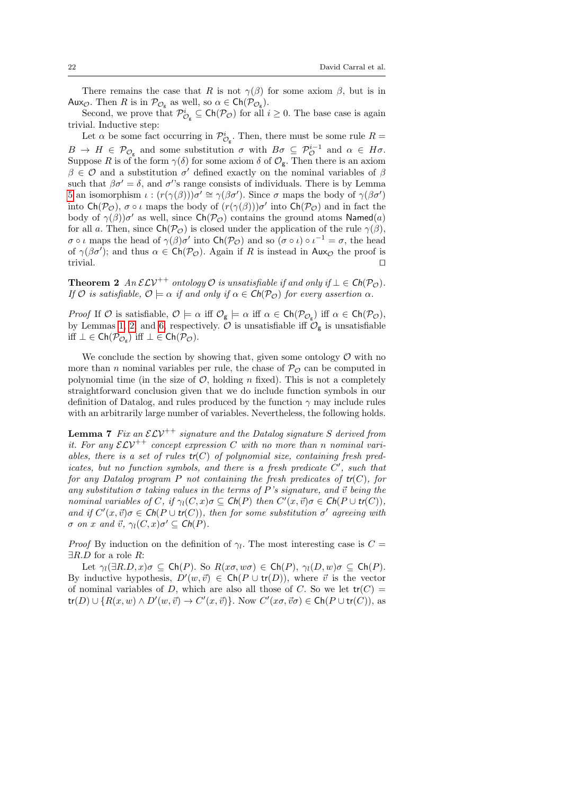There remains the case that R is not  $\gamma(\beta)$  for some axiom  $\beta$ , but is in Aux<sub> $\mathcal{O}$ </sub>. Then R is in  $\mathcal{P}_{\mathcal{O}_g}$  as well, so  $\alpha \in \mathsf{Ch}(\mathcal{P}_{\mathcal{O}_g})$ .

Second, we prove that  $\mathcal{P}_{\mathcal{O}_g}^i \subseteq \mathsf{Ch}(\mathcal{P}_{\mathcal{O}})$  for all  $i \geq 0$ . The base case is again trivial. Inductive step:

Let  $\alpha$  be some fact occurring in  $\mathcal{P}_{\mathcal{O}_g}^i$ . Then, there must be some rule  $R =$  $B \to H \in \mathcal{P}_{\mathcal{O}_{g}}$  and some substitution  $\sigma$  with  $B\sigma \subseteq \mathcal{P}_{\mathcal{O}}^{i-1}$  and  $\alpha \in H\sigma$ . Suppose R is of the form  $\gamma(\delta)$  for some axiom  $\delta$  of  $\mathcal{O}_{g}$ . Then there is an axiom  $\beta \in \mathcal{O}$  and a substitution  $\sigma'$  defined exactly on the nominal variables of  $\beta$ such that  $\beta \sigma' = \delta$ , and  $\sigma'$ 's range consists of individuals. There is by Lemma [5](#page-20-0) an isomorphism  $\iota : (r(\gamma(\beta)))\sigma' \cong \gamma(\beta \sigma')$ . Since σ maps the body of  $\gamma(\beta \sigma')$ into  $\mathsf{Ch}(\mathcal{P}_{\mathcal{O}}), \sigma \circ \iota$  maps the body of  $(r(\gamma(\beta)))\sigma'$  into  $\mathsf{Ch}(\mathcal{P}_{\mathcal{O}})$  and in fact the body of  $\gamma(\beta)$ ) $\sigma'$  as well, since  $\mathsf{Ch}(\mathcal{P}_{\mathcal{O}})$  contains the ground atoms Named(a) for all a. Then, since  $\mathsf{Ch}(\mathcal{P}_{\mathcal{O}})$  is closed under the application of the rule  $\gamma(\beta)$ ,  $\sigma \circ \iota$  maps the head of  $\gamma(\beta)\sigma'$  into  $\mathsf{Ch}(\mathcal{P}_{\mathcal{O}})$  and so  $(\sigma \circ \iota) \circ \iota^{-1} = \sigma$ , the head of  $\gamma(\beta \sigma')$ ; and thus  $\alpha \in \mathsf{Ch}(\mathcal{P}_{\mathcal{O}})$ . Again if R is instead in Aux<sub> $\varphi$ </sub> the proof is trivial. ⊓⊔

<span id="page-21-0"></span>**Theorem 2** An  $\mathcal{ELV}^{++}$  ontology  $\mathcal{O}$  is unsatisfiable if and only if  $\bot \in \mathsf{Ch}(\mathcal{P}_{\mathcal{O}})$ . If O is satisfiable,  $\mathcal{O} \models \alpha$  if and only if  $\alpha \in \mathsf{Ch}(\mathcal{P}_{\mathcal{O}})$  for every assertion  $\alpha$ .

Proof If O is satisfiable,  $\mathcal{O} \models \alpha$  iff  $\mathcal{O}_{g} \models \alpha$  iff  $\alpha \in \mathsf{Ch}(\mathcal{P}_{\mathcal{O}_{g}})$  iff  $\alpha \in \mathsf{Ch}(\mathcal{P}_{\mathcal{O}})$ , by Lemmas [1,](#page-16-2) [2,](#page-17-1) and [6,](#page-20-1) respectively.  $\mathcal O$  is unsatisfiable iff  $\mathcal O_{\mathfrak g}$  is unsatisfiable iff  $\bot$  ∈ Ch( $\mathcal{P}_{\mathcal{O}_g}$ ) iff  $\bot$  ∈ Ch( $\mathcal{P}_{\mathcal{O}}$ ).

We conclude the section by showing that, given some ontology  $\mathcal O$  with no more than *n* nominal variables per rule, the chase of  $\mathcal{P}_{\mathcal{O}}$  can be computed in polynomial time (in the size of  $O$ , holding n fixed). This is not a completely straightforward conclusion given that we do include function symbols in our definition of Datalog, and rules produced by the function  $\gamma$  may include rules with an arbitrarily large number of variables. Nevertheless, the following holds.

<span id="page-21-1"></span>**Lemma 7** Fix an  $\mathcal{ELV}^{++}$  signature and the Datalog signature S derived from it. For any  $\mathcal{ELV}^{++}$  concept expression C with no more than n nominal variables, there is a set of rules  $tr(C)$  of polynomial size, containing fresh predicates, but no function symbols, and there is a fresh predicate  $C'$ , such that for any Datalog program P not containing the fresh predicates of  $tr(C)$ , for any substitution  $\sigma$  taking values in the terms of P's signature, and  $\vec{v}$  being the nominal variables of C, if  $\gamma_l(C, x) \sigma \subseteq \mathsf{Ch}(P)$  then  $C'(x, \vec{v}) \sigma \in \mathsf{Ch}(P \cup \mathsf{tr}(C)),$ and if  $C'(x, \vec{v})\sigma \in \mathsf{Ch}(P \cup \mathsf{tr}(C))$ , then for some substitution  $\sigma'$  agreeing with  $\sigma$  on x and  $\vec{v}$ ,  $\gamma_l(C, x)\sigma' \subseteq \mathsf{Ch}(P)$ .

*Proof* By induction on the definition of  $\gamma_l$ . The most interesting case is  $C =$  $\exists R.D$  for a role R:

Let  $\gamma_l(\exists R.D, x)\sigma \subseteq \mathsf{Ch}(P)$ . So  $R(x\sigma, w\sigma) \in \mathsf{Ch}(P), \gamma_l(D, w)\sigma \subseteq \mathsf{Ch}(P)$ . By inductive hypothesis,  $D'(w, \vec{v}) \in \mathsf{Ch}(P \cup \mathsf{tr}(D))$ , where  $\vec{v}$  is the vector of nominal variables of D, which are also all those of C. So we let  $tr(C)$  =  $tr(D) \cup \{ R(x, w) \wedge D'(w, \vec{v}) \to C'(x, \vec{v}) \}.$  Now  $C'(x\sigma, \vec{v}\sigma) \in \mathsf{Ch}(P \cup \mathsf{tr}(C)),$  as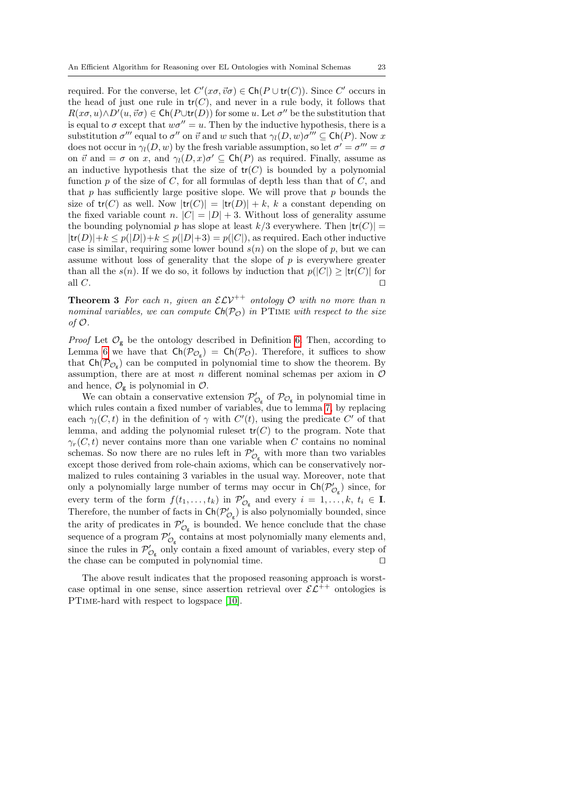required. For the converse, let  $C'(x\sigma, \vec{v}\sigma) \in \mathsf{Ch}(P \cup \mathsf{tr}(C))$ . Since C' occurs in the head of just one rule in  $tr(C)$ , and never in a rule body, it follows that  $R(x\sigma, u) \wedge D'(u, \vec{v}\sigma) \in \mathsf{Ch}(P \cup \mathsf{tr}(D))$  for some u. Let  $\sigma''$  be the substitution that is equal to  $\sigma$  except that  $w\sigma'' = u$ . Then by the inductive hypothesis, there is a substitution  $\sigma'''$  equal to  $\sigma''$  on  $\vec{v}$  and w such that  $\gamma_l(D, w)\sigma''' \subseteq \mathsf{Ch}(P)$ . Now x does not occur in  $\gamma_l(D, w)$  by the fresh variable assumption, so let  $\sigma' = \sigma''' = \sigma$ on  $\vec{v}$  and  $=\sigma$  on x, and  $\gamma_l(D, x)\sigma' \subseteq \text{Ch}(P)$  as required. Finally, assume as an inductive hypothesis that the size of  $tr(C)$  is bounded by a polynomial function  $p$  of the size of  $C$ , for all formulas of depth less than that of  $C$ , and that p has sufficiently large positive slope. We will prove that p bounds the size of  $tr(C)$  as well. Now  $tr(C)| = |tr(D)| + k$ , k a constant depending on the fixed variable count n.  $|C| = |D| + 3$ . Without loss of generality assume the bounding polynomial p has slope at least  $k/3$  everywhere. Then  $|\text{tr}(C)| =$  $|\text{tr}(D)|+k \leq p(|D|)+k \leq p(|D|+3) = p(|C|)$ , as required. Each other inductive case is similar, requiring some lower bound  $s(n)$  on the slope of p, but we can assume without loss of generality that the slope of  $p$  is everywhere greater than all the  $s(n)$ . If we do so, it follows by induction that  $p(|C|) \geq |tr(C)|$  for all C.  $□$ 

**Theorem 3** For each n, given an  $\mathcal{ELV}^{++}$  ontology  $\mathcal{O}$  with no more than n nominal variables, we can compute  $\mathsf{Ch}(\mathcal{P}_{\mathcal{O}})$  in PTIME with respect to the size of  $\mathcal{O}$ .

*Proof* Let  $\mathcal{O}_{g}$  be the ontology described in Definition [6.](#page-16-3) Then, according to Lemma [6](#page-20-1) we have that  $\mathsf{Ch}(\mathcal{P}_{\mathcal{O}_g}) = \mathsf{Ch}(\mathcal{P}_{\mathcal{O}})$ . Therefore, it suffices to show that  $\mathsf{Ch}(\mathcal{P}_{\mathcal{O}_{g}})$  can be computed in polynomial time to show the theorem. By assumption, there are at most  $n$  different nominal schemas per axiom in  $\mathcal O$ and hence,  $\mathcal{O}_{g}$  is polynomial in  $\mathcal{O}$ .

We can obtain a conservative extension  $\mathcal{P}'_{\mathcal{O}_g}$  of  $\mathcal{P}_{\mathcal{O}_g}$  in polynomial time in which rules contain a fixed number of variables, due to lemma [7,](#page-21-1) by replacing each  $\gamma_l(C, t)$  in the definition of  $\gamma$  with  $C'(t)$ , using the predicate  $C'$  of that lemma, and adding the polynomial rules t  $tr(C)$  to the program. Note that  $\gamma_r(C, t)$  never contains more than one variable when C contains no nominal schemas. So now there are no rules left in  $\mathcal{P}'_{\mathcal{O}_g}$  with more than two variables except those derived from role-chain axioms, which can be conservatively normalized to rules containing 3 variables in the usual way. Moreover, note that only a polynomially large number of terms may occur in  $\mathsf{Ch}(\mathcal{P}'_{\mathcal{O}_g})$  since, for every term of the form  $f(t_1,\ldots,t_k)$  in  $\mathcal{P}'_{\mathcal{O}_g}$  and every  $i=1,\ldots,k$ ,  $t_i \in \mathbf{I}$ . Therefore, the number of facts in  $\mathsf{Ch}(\mathcal{P}'_{\mathcal{O}_g})$  is also polynomially bounded, since the arity of predicates in  $\mathcal{P}'_{\mathcal{O}_g}$  is bounded. We hence conclude that the chase sequence of a program  $\mathcal{P}'_{\mathcal{O}_g}$  contains at most polynomially many elements and, since the rules in  $\mathcal{P}'_{\mathcal{O}_g}$  only contain a fixed amount of variables, every step of the chase can be computed in polynomial time. ⊓⊔

The above result indicates that the proposed reasoning approach is worstcase optimal in one sense, since assertion retrieval over  $\mathcal{E} \mathcal{L}^{++}$  ontologies is PTime-hard with respect to logspace [\[10\]](#page-28-15).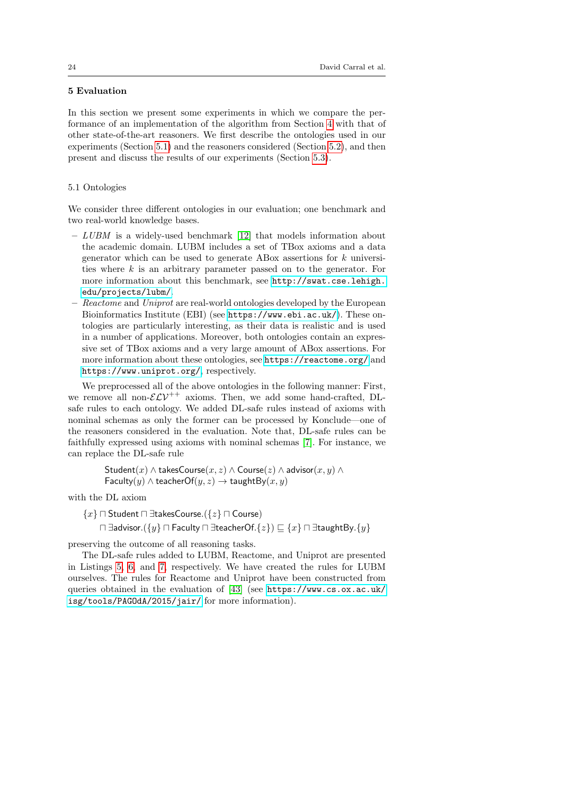## <span id="page-23-0"></span>5 Evaluation

In this section we present some experiments in which we compare the performance of an implementation of the algorithm from Section [4](#page-16-0) with that of other state-of-the-art reasoners. We first describe the ontologies used in our experiments (Section [5.1\)](#page-23-1) and the reasoners considered (Section [5.2\)](#page-24-0), and then present and discuss the results of our experiments (Section [5.3\)](#page-25-0).

#### <span id="page-23-1"></span>5.1 Ontologies

We consider three different ontologies in our evaluation; one benchmark and two real-world knowledge bases.

- $LUBM$  is a widely-used benchmark [\[12\]](#page-28-16) that models information about the academic domain. LUBM includes a set of TBox axioms and a data generator which can be used to generate ABox assertions for  $k$  universities where k is an arbitrary parameter passed on to the generator. For more information about this benchmark, see [http://swat.cse.lehigh.](http://swat.cse.lehigh.edu/projects/lubm/) [edu/projects/lubm/](http://swat.cse.lehigh.edu/projects/lubm/).
- Reactome and Uniprot are real-world ontologies developed by the European Bioinformatics Institute (EBI) (see <https://www.ebi.ac.uk/>). These ontologies are particularly interesting, as their data is realistic and is used in a number of applications. Moreover, both ontologies contain an expressive set of TBox axioms and a very large amount of ABox assertions. For more information about these ontologies, see <https://reactome.org/> and <https://www.uniprot.org/>, respectively.

We preprocessed all of the above ontologies in the following manner: First, we remove all non- $\mathcal{ELV}^{++}$  axioms. Then, we add some hand-crafted, DLsafe rules to each ontology. We added DL-safe rules instead of axioms with nominal schemas as only the former can be processed by Konclude—one of the reasoners considered in the evaluation. Note that, DL-safe rules can be faithfully expressed using axioms with nominal schemas [\[7\]](#page-27-5). For instance, we can replace the DL-safe rule

> $\mathsf{Student}(x) \land \mathsf{takesCourse}(x,z) \land \mathsf{Course}(z) \land \mathsf{advisor}(x,y) \land$ Faculty(y)  $\land$  teacherOf(y, z)  $\rightarrow$  taughtBy(x, y)

with the DL axiom

{x} ⊓ Student ⊓ ∃takesCourse.({z} ⊓ Course)

 $\Box$  ∃advisor.( $\{y\}$   $\Box$  Faculty  $\Box$  ∃teacherOf. $\{z\}$ )  $\Box$   $\{x\}$   $\Box$   $\exists$ taughtBy. $\{y\}$ 

preserving the outcome of all reasoning tasks.

The DL-safe rules added to LUBM, Reactome, and Uniprot are presented in Listings [5,](#page-24-1) [6,](#page-24-2) and [7,](#page-25-1) respectively. We have created the rules for LUBM ourselves. The rules for Reactome and Uniprot have been constructed from queries obtained in the evaluation of [\[43\]](#page-29-13) (see [https://www.cs.ox.ac.uk/](https://www.cs.ox.ac.uk/isg/tools/PAGOdA/2015/jair/) [isg/tools/PAGOdA/2015/jair/](https://www.cs.ox.ac.uk/isg/tools/PAGOdA/2015/jair/) for more information).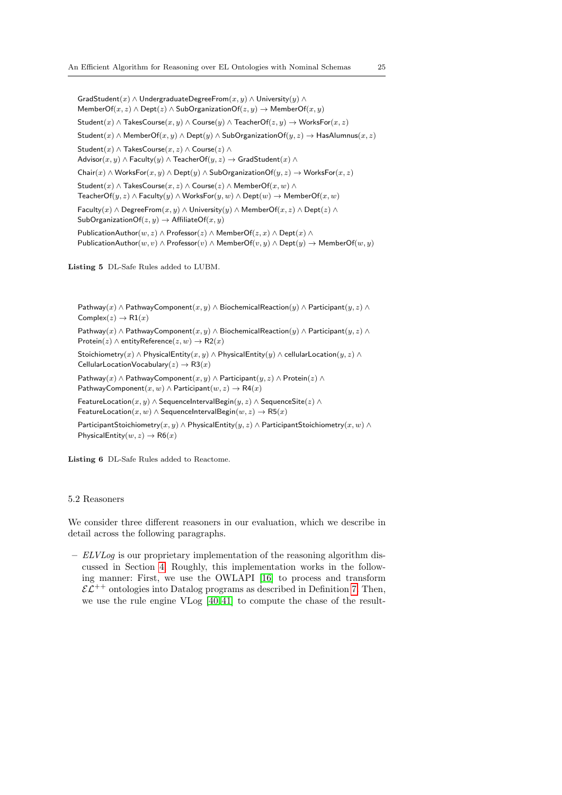GradStudent(x) ∧ UndergraduateDegreeFrom(x, y) ∧ University(y) ∧ MemberOf(x, z)  $\land$  Dept(z)  $\land$  SubOrganizationOf(z, y)  $\rightarrow$  MemberOf(x, y) Student(x) ∧ TakesCourse(x, y) ∧ Course(y) ∧ TeacherOf( $z, y$ )  $\rightarrow$  WorksFor(x, z) Student(x) ∧ MemberOf(x, y) ∧ Dept(y) ∧ SubOrganizationOf(y, z)  $\rightarrow$  HasAlumnus(x, z) Student(x)  $\land$  TakesCourse(x, z)  $\land$  Course(z)  $\land$  $\mathsf{Advisor}(x, y) \land \mathsf{Faculty}(y) \land \mathsf{TeacherOf}(y, z) \rightarrow \mathsf{GradStudent}(x) \land$ Chair $(x) \wedge$  WorksFor $(x, y) \wedge$  Dept $(y) \wedge$  SubOrganizationOf $(y, z) \rightarrow$  WorksFor $(x, z)$ Student $(x) \wedge$  TakesCourse $(x, z) \wedge$ Course $(z) \wedge$  MemberOf $(x, w) \wedge$ TeacherOf(y, z)  $\land$  Faculty(y)  $\land$  WorksFor(y, w)  $\land$  Dept(w)  $\rightarrow$  MemberOf(x, w) Faculty $(x) \wedge$  DegreeFrom $(x, y) \wedge$  University $(y) \wedge$  MemberOf $(x, z) \wedge$  Dept $(z) \wedge$ SubOrganizationOf( $z, y$ )  $\rightarrow$  AffiliateOf( $x, y$ ) PublicationAuthor $(w, z) \wedge$  Professor $(z) \wedge$  MemberOf $(z, x) \wedge$  Dept $(x) \wedge$ PublicationAuthor $(w, v)$  ∧ Professor $(v)$  ∧ MemberOf $(v, y)$  ∧ Dept $(y)$  → MemberOf $(w, y)$ 

<span id="page-24-1"></span>Listing 5 DL-Safe Rules added to LUBM.

Pathway(x) ∧ PathwayComponent(x, y) ∧ BiochemicalReaction(y) ∧ Participant(y, z) ∧ Complex( $z$ )  $\rightarrow$  R1( $x$ ) Pathway(x) ∧ PathwayComponent(x, y) ∧ BiochemicalReaction(y) ∧ Participant(y, z) ∧ Protein(z)  $\land$  entityReference( $z, w$ )  $\rightarrow$  R2(x)

Stoichiometry(x) ∧ PhysicalEntity(x, y) ∧ PhysicalEntity(y) ∧ cellularLocation(y, z) ∧ CellularLocationVocabulary $(z) \rightarrow R3(x)$ 

Pathway $(x) \wedge$  PathwayComponent $(x, y) \wedge$  Participant $(y, z) \wedge$  Protein $(z) \wedge$ PathwayComponent $(x, w) \wedge$  Participant $(w, z) \rightarrow R4(x)$ 

FeatureLocation $(x, y) \wedge$ SequenceIntervalBegin $(y, z) \wedge$ SequenceSite $(z) \wedge$ FeatureLocation $(x, w) \wedge$ SequenceIntervalBegin $(w, z) \rightarrow R5(x)$ 

ParticipantStoichiometry $(x, y) \wedge$ PhysicalEntity $(y, z) \wedge$ ParticipantStoichiometry $(x, w) \wedge$ PhysicalEntity $(w, z) \rightarrow R6(x)$ 

<span id="page-24-2"></span>Listing 6 DL-Safe Rules added to Reactome.

### <span id="page-24-0"></span>5.2 Reasoners

We consider three different reasoners in our evaluation, which we describe in detail across the following paragraphs.

– ELVLog is our proprietary implementation of the reasoning algorithm discussed in Section [4.](#page-16-0) Roughly, this implementation works in the following manner: First, we use the OWLAPI [\[16\]](#page-28-17) to process and transform  $\mathcal{EL}^{++}$  ontologies into Datalog programs as described in Definition [7.](#page-17-2) Then, we use the rule engine VLog [\[40,](#page-29-7) [41\]](#page-29-8) to compute the chase of the result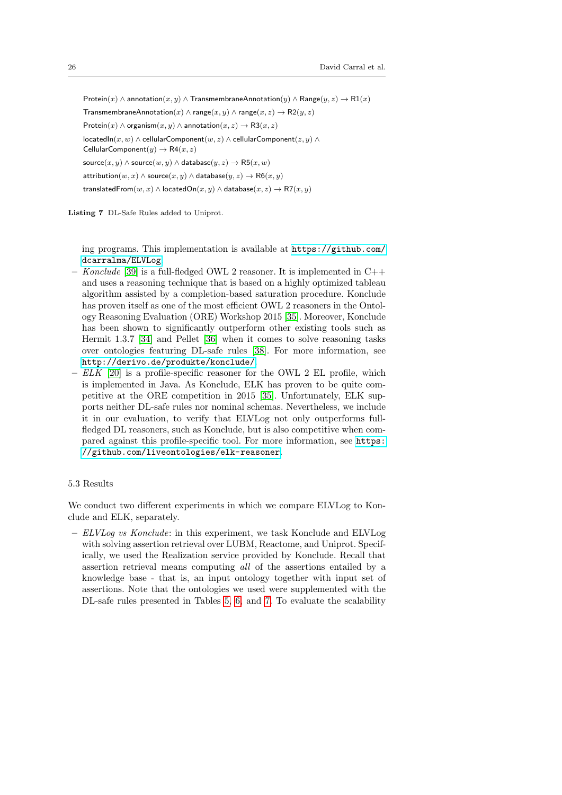Protein $(x) \wedge$  annotation $(x, y) \wedge$  TransmembraneAnnotation $(y) \wedge$  Range $(y, z) \rightarrow \mathsf{R1}(x)$ TransmembraneAnnotation(x)  $\land$  range(x, y)  $\land$  range(x, z)  $\rightarrow$  R2(y, z) Protein $(x) \wedge$  organism $(x, y) \wedge$  annotation $(x, z) \rightarrow R3(x, z)$ locatedIn(x, w) ∧ cellularComponent(w, z) ∧ cellularComponent(z, y) ∧ CellularComponent $(y) \rightarrow R4(x, z)$ source $(x, y) \wedge$  source $(w, y) \wedge$  database $(y, z) \rightarrow \mathsf{R5}(x, w)$ attribution $(w, x) \wedge$ source $(x, y) \wedge$ database $(y, z) \rightarrow \mathsf{R6}(x, y)$ translatedFrom $(w, x) \wedge$ located $On(x, y) \wedge$ database $(x, z) \rightarrow \mathsf{R7}(x, y)$ 

<span id="page-25-1"></span>Listing 7 DL-Safe Rules added to Uniprot.

ing programs. This implementation is available at [https://github.com/](https://github.com/dcarralma/ELVLog) [dcarralma/ELVLog](https://github.com/dcarralma/ELVLog).

- Konclude [\[39\]](#page-29-9) is a full-fledged OWL 2 reasoner. It is implemented in  $C++$ and uses a reasoning technique that is based on a highly optimized tableau algorithm assisted by a completion-based saturation procedure. Konclude has proven itself as one of the most efficient OWL 2 reasoners in the Ontology Reasoning Evaluation (ORE) Workshop 2015 [\[35\]](#page-29-10). Moreover, Konclude has been shown to significantly outperform other existing tools such as Hermit 1.3.7 [\[34\]](#page-29-14) and Pellet [\[36\]](#page-29-15) when it comes to solve reasoning tasks over ontologies featuring DL-safe rules [\[38\]](#page-29-6). For more information, see <http://derivo.de/produkte/konclude/>.
- $-ELK$  [\[20\]](#page-28-11) is a profile-specific reasoner for the OWL 2 EL profile, which is implemented in Java. As Konclude, ELK has proven to be quite competitive at the ORE competition in 2015 [\[35\]](#page-29-10). Unfortunately, ELK supports neither DL-safe rules nor nominal schemas. Nevertheless, we include it in our evaluation, to verify that ELVLog not only outperforms fullfledged DL reasoners, such as Konclude, but is also competitive when compared against this profile-specific tool. For more information, see [https:](https://github.com/liveontologies/elk-reasoner) [//github.com/liveontologies/elk-reasoner](https://github.com/liveontologies/elk-reasoner).

### <span id="page-25-0"></span>5.3 Results

We conduct two different experiments in which we compare ELVLog to Konclude and ELK, separately.

 $-ELVLog$  vs Konclude: in this experiment, we task Konclude and ELVLog with solving assertion retrieval over LUBM, Reactome, and Uniprot. Specifically, we used the Realization service provided by Konclude. Recall that assertion retrieval means computing all of the assertions entailed by a knowledge base - that is, an input ontology together with input set of assertions. Note that the ontologies we used were supplemented with the DL-safe rules presented in Tables [5,](#page-24-1) [6,](#page-24-2) and [7.](#page-25-1) To evaluate the scalability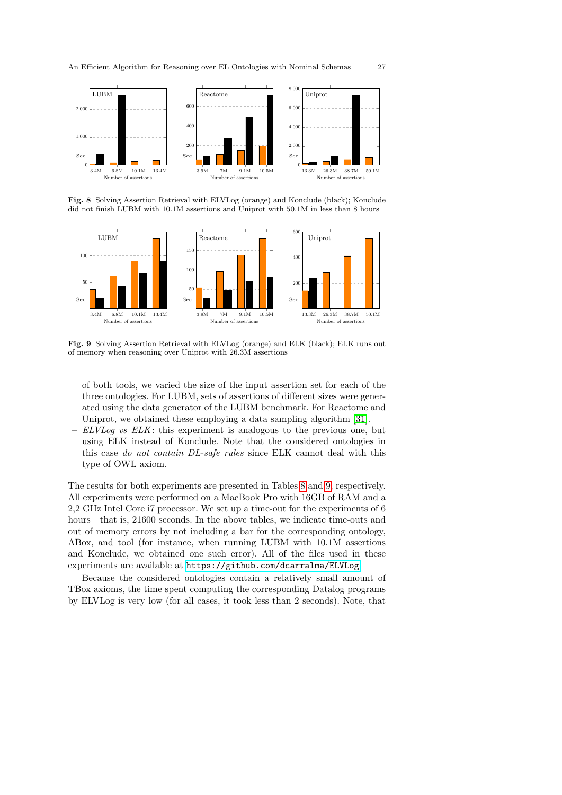

<span id="page-26-0"></span>Fig. 8 Solving Assertion Retrieval with ELVLog (orange) and Konclude (black); Konclude did not finish LUBM with 10.1M assertions and Uniprot with 50.1M in less than 8 hours



<span id="page-26-1"></span>Fig. 9 Solving Assertion Retrieval with ELVLog (orange) and ELK (black); ELK runs out of memory when reasoning over Uniprot with 26.3M assertions

of both tools, we varied the size of the input assertion set for each of the three ontologies. For LUBM, sets of assertions of different sizes were generated using the data generator of the LUBM benchmark. For Reactome and Uniprot, we obtained these employing a data sampling algorithm [\[31\]](#page-29-16).

– ELVLog vs ELK: this experiment is analogous to the previous one, but using ELK instead of Konclude. Note that the considered ontologies in this case do not contain DL-safe rules since ELK cannot deal with this type of OWL axiom.

The results for both experiments are presented in Tables [8](#page-26-0) and [9,](#page-26-1) respectively. All experiments were performed on a MacBook Pro with 16GB of RAM and a 2,2 GHz Intel Core i7 processor. We set up a time-out for the experiments of 6 hours—that is, 21600 seconds. In the above tables, we indicate time-outs and out of memory errors by not including a bar for the corresponding ontology, ABox, and tool (for instance, when running LUBM with 10.1M assertions and Konclude, we obtained one such error). All of the files used in these experiments are available at <https://github.com/dcarralma/ELVLog>.

Because the considered ontologies contain a relatively small amount of TBox axioms, the time spent computing the corresponding Datalog programs by ELVLog is very low (for all cases, it took less than 2 seconds). Note, that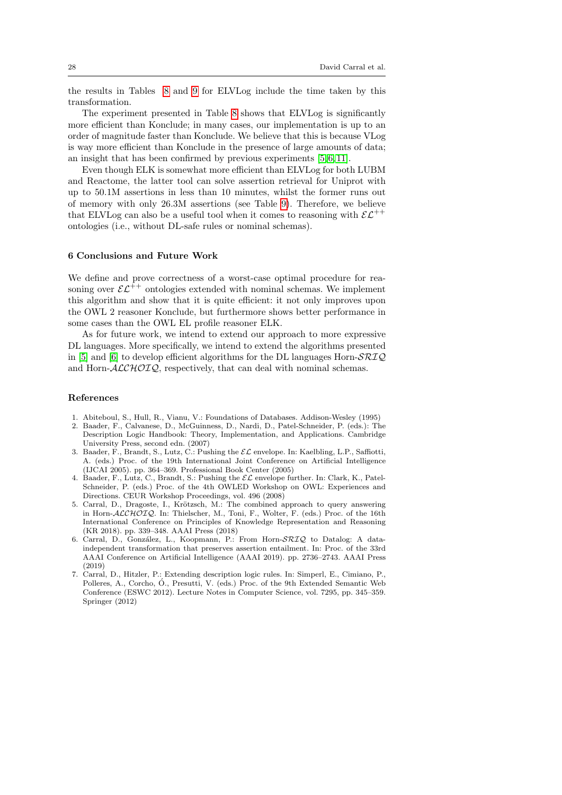the results in Tables [8](#page-26-0) and [9](#page-26-1) for ELVLog include the time taken by this transformation.

The experiment presented in Table [8](#page-26-0) shows that ELVLog is significantly more efficient than Konclude; in many cases, our implementation is up to an order of magnitude faster than Konclude. We believe that this is because VLog is way more efficient than Konclude in the presence of large amounts of data; an insight that has been confirmed by previous experiments [\[5,](#page-27-6) [6,](#page-27-7) [11\]](#page-28-18).

Even though ELK is somewhat more efficient than ELVLog for both LUBM and Reactome, the latter tool can solve assertion retrieval for Uniprot with up to 50.1M assertions in less than 10 minutes, whilst the former runs out of memory with only 26.3M assertions (see Table [9\)](#page-26-1). Therefore, we believe that ELVLog can also be a useful tool when it comes to reasoning with  $\mathcal{EL}^{++}$ ontologies (i.e., without DL-safe rules or nominal schemas).

### <span id="page-27-1"></span>6 Conclusions and Future Work

We define and prove correctness of a worst-case optimal procedure for reasoning over  $\mathcal{EL}^{++}$  ontologies extended with nominal schemas. We implement this algorithm and show that it is quite efficient: it not only improves upon the OWL 2 reasoner Konclude, but furthermore shows better performance in some cases than the OWL EL profile reasoner ELK.

As for future work, we intend to extend our approach to more expressive DL languages. More specifically, we intend to extend the algorithms presented in [\[5\]](#page-27-6) and [\[6\]](#page-27-7) to develop efficient algorithms for the DL languages Horn- $\mathcal{SRIQ}$ and Horn- $ALCHOTQ$ , respectively, that can deal with nominal schemas.

### References

- <span id="page-27-4"></span>1. Abiteboul, S., Hull, R., Vianu, V.: Foundations of Databases. Addison-Wesley (1995)
- <span id="page-27-0"></span>2. Baader, F., Calvanese, D., McGuinness, D., Nardi, D., Patel-Schneider, P. (eds.): The Description Logic Handbook: Theory, Implementation, and Applications. Cambridge University Press, second edn. (2007)
- <span id="page-27-2"></span>3. Baader, F., Brandt, S., Lutz, C.: Pushing the  $\mathcal{EL}$  envelope. In: Kaelbling, L.P., Saffiotti, A. (eds.) Proc. of the 19th International Joint Conference on Artificial Intelligence (IJCAI 2005). pp. 364–369. Professional Book Center (2005)
- <span id="page-27-3"></span>4. Baader, F., Lutz, C., Brandt, S.: Pushing the  $\mathcal{EL}$  envelope further. In: Clark, K., Patel-Schneider, P. (eds.) Proc. of the 4th OWLED Workshop on OWL: Experiences and Directions. CEUR Workshop Proceedings, vol. 496 (2008)
- <span id="page-27-6"></span>5. Carral, D., Dragoste, I., Krötzsch, M.: The combined approach to query answering in Horn-ALCHOIQ. In: Thielscher, M., Toni, F., Wolter, F. (eds.) Proc. of the 16th International Conference on Principles of Knowledge Representation and Reasoning (KR 2018). pp. 339–348. AAAI Press (2018)
- <span id="page-27-7"></span>6. Carral, D., González, L., Koopmann, P.: From Horn-SRIQ to Datalog: A dataindependent transformation that preserves assertion entailment. In: Proc. of the 33rd AAAI Conference on Artificial Intelligence (AAAI 2019). pp. 2736–2743. AAAI Press (2019)
- <span id="page-27-5"></span>7. Carral, D., Hitzler, P.: Extending description logic rules. In: Simperl, E., Cimiano, P., Polleres, A., Corcho, Ó., Presutti, V. (eds.) Proc. of the 9th Extended Semantic Web Conference (ESWC 2012). Lecture Notes in Computer Science, vol. 7295, pp. 345–359. Springer (2012)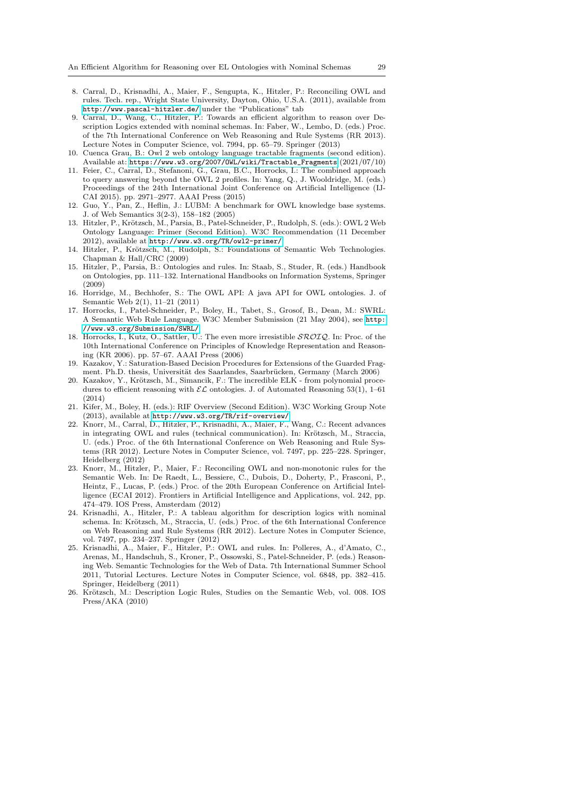- <span id="page-28-5"></span>8. Carral, D., Krisnadhi, A., Maier, F., Sengupta, K., Hitzler, P.: Reconciling OWL and rules. Tech. rep., Wright State University, Dayton, Ohio, U.S.A. (2011), available from <http://www.pascal-hitzler.de/> under the "Publications" tab
- <span id="page-28-6"></span>9. Carral, D., Wang, C., Hitzler, P.: Towards an efficient algorithm to reason over Description Logics extended with nominal schemas. In: Faber, W., Lembo, D. (eds.) Proc. of the 7th International Conference on Web Reasoning and Rule Systems (RR 2013). Lecture Notes in Computer Science, vol. 7994, pp. 65–79. Springer (2013)
- <span id="page-28-15"></span>10. Cuenca Grau, B.: Owl 2 web ontology language tractable fragments (second edition). Available at: [https://www.w3.org/2007/OWL/wiki/Tractable\\_Fragments](https://www.w3.org/2007/OWL/wiki/Tractable_Fragments) (2021/07/10)
- <span id="page-28-18"></span>11. Feier, C., Carral, D., Stefanoni, G., Grau, B.C., Horrocks, I.: The combined approach to query answering beyond the OWL 2 profiles. In: Yang, Q., J. Wooldridge, M. (eds.) Proceedings of the 24th International Joint Conference on Artificial Intelligence (IJ-CAI 2015). pp. 2971–2977. AAAI Press (2015)
- <span id="page-28-16"></span>12. Guo, Y., Pan, Z., Heflin, J.: LUBM: A benchmark for OWL knowledge base systems. J. of Web Semantics 3(2-3), 158–182 (2005)
- <span id="page-28-1"></span>13. Hitzler, P., Krötzsch, M., Parsia, B., Patel-Schneider, P., Rudolph, S. (eds.): OWL 2 Web Ontology Language: Primer (Second Edition). W3C Recommendation (11 December 2012), available at <http://www.w3.org/TR/owl2-primer/>
- <span id="page-28-12"></span>14. Hitzler, P., Krötzsch, M., Rudolph, S.: Foundations of Semantic Web Technologies. Chapman & Hall/CRC (2009)
- <span id="page-28-2"></span>15. Hitzler, P., Parsia, B.: Ontologies and rules. In: Staab, S., Studer, R. (eds.) Handbook on Ontologies, pp. 111–132. International Handbooks on Information Systems, Springer (2009)
- <span id="page-28-17"></span>16. Horridge, M., Bechhofer, S.: The OWL API: A java API for OWL ontologies. J. of Semantic Web 2(1), 11–21 (2011)
- <span id="page-28-7"></span>17. Horrocks, I., Patel-Schneider, P., Boley, H., Tabet, S., Grosof, B., Dean, M.: SWRL: A Semantic Web Rule Language. W3C Member Submission (21 May 2004), see [http:](http://www.w3.org/Submission/SWRL/) [//www.w3.org/Submission/SWRL/](http://www.w3.org/Submission/SWRL/)
- <span id="page-28-14"></span>18. Horrocks, I., Kutz, O., Sattler, U.: The even more irresistible SROIQ. In: Proc. of the 10th International Conference on Principles of Knowledge Representation and Reasoning (KR 2006). pp. 57–67. AAAI Press (2006)
- <span id="page-28-13"></span>19. Kazakov, Y.: Saturation-Based Decision Procedures for Extensions of the Guarded Fragment. Ph.D. thesis, Universität des Saarlandes, Saarbrücken, Germany (March 2006)
- <span id="page-28-11"></span>20. Kazakov, Y., Krötzsch, M., Simancik, F.: The incredible ELK - from polynomial procedures to efficient reasoning with  $\mathcal{EL}$  ontologies. J. of Automated Reasoning 53(1), 1–61 (2014)
- <span id="page-28-9"></span>21. Kifer, M., Boley, H. (eds.): RIF Overview (Second Edition). W3C Working Group Note (2013), available at <http://www.w3.org/TR/rif-overview/>
- <span id="page-28-8"></span>22. Knorr, M., Carral, D., Hitzler, P., Krisnadhi, A., Maier, F., Wang, C.: Recent advances in integrating OWL and rules (technical communication). In: Krötzsch, M., Straccia, U. (eds.) Proc. of the 6th International Conference on Web Reasoning and Rule Systems (RR 2012). Lecture Notes in Computer Science, vol. 7497, pp. 225–228. Springer, Heidelberg (2012)
- <span id="page-28-4"></span>23. Knorr, M., Hitzler, P., Maier, F.: Reconciling OWL and non-monotonic rules for the Semantic Web. In: De Raedt, L., Bessiere, C., Dubois, D., Doherty, P., Frasconi, P., Heintz, F., Lucas, P. (eds.) Proc. of the 20th European Conference on Artificial Intelligence (ECAI 2012). Frontiers in Artificial Intelligence and Applications, vol. 242, pp. 474–479. IOS Press, Amsterdam (2012)
- <span id="page-28-10"></span>24. Krisnadhi, A., Hitzler, P.: A tableau algorithm for description logics with nominal schema. In: Krötzsch, M., Straccia, U. (eds.) Proc. of the 6th International Conference on Web Reasoning and Rule Systems (RR 2012). Lecture Notes in Computer Science, vol. 7497, pp. 234–237. Springer (2012)
- <span id="page-28-3"></span>25. Krisnadhi, A., Maier, F., Hitzler, P.: OWL and rules. In: Polleres, A., d'Amato, C., Arenas, M., Handschuh, S., Kroner, P., Ossowski, S., Patel-Schneider, P. (eds.) Reasoning Web. Semantic Technologies for the Web of Data. 7th International Summer School 2011, Tutorial Lectures. Lecture Notes in Computer Science, vol. 6848, pp. 382–415. Springer, Heidelberg (2011)
- <span id="page-28-0"></span>26. Krötzsch, M.: Description Logic Rules, Studies on the Semantic Web, vol. 008. IOS Press/AKA (2010)